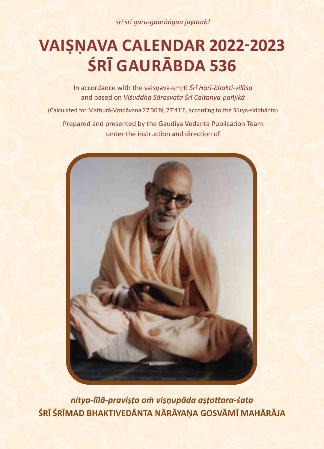*śrī śrī guru-gaurāṅgau jayataḥ!*

# **VAIṢṆAVA CALENDAR 2022-2023 ŚRĪ GAURĀBDA 536**

In accordance with the vaiṣṇava-smṛti *Śrī Hari-bhakti-vilāsa* and based on *Viśuddha Sārasvata Śrī Caitanya-pañjikā*

(Calculated for Mathurā-Vṛndāvana 27'30'N, 77'41'E, according to the Sūrya-siddhānta) Prepared and presented by the Gaudiya Vedanta Publication Team under the instruction and direction of



*nitya-līlā-praviṣṭa oṁ viṣṇupāda aṣṭottara-śata* **ŚRĪ ŚRĪMAD BHAKTIVEDĀNTA NĀRĀYAṆA GOSVĀMĪ MAHĀRĀJA**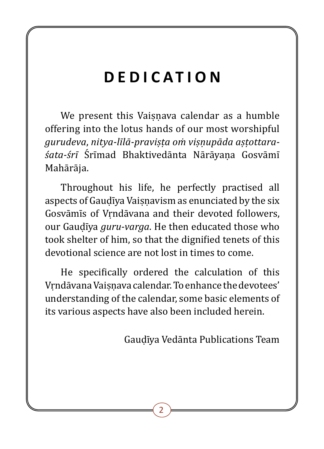## **DEDICATION**

We present this Vaisnava calendar as a humble offering into the lotus hands of our most worshipful *gurudeva*, *nitya-līlā-praviṣṭa oṁ viṣṇupāda aṣṭottara*śata-śrī Śrīmad Bhaktivedānta Nārāyana Gosvāmī Mahārāja.

Throughout his life, he perfectly practised all aspects of Gaudīya Vaisnavism as enunciated by the six Gosvāmīs of Vrndāvana and their devoted followers, our Gauḍī�ya *guru-varga*. He then educated those who took shelter of him, so that the dignified tenets of this devotional science are not lost in times to come.

He specifically ordered the calculation of this Vṛndāvana Vaiṣṇava calendar. To enhance the devotees' understanding of the calendar, some basic elements of its various aspects have also been included herein.

Gauḍī�ya Vedānta Publications Team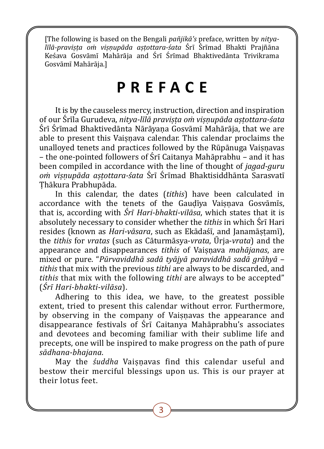[The following is based on the Bengali *pañjikā's* preface, written by *nityalīlā-praviṣṭa oṁ viṣṇupāda aṣṭottara-śata* Ś�rī� Ś�rī�mad Bhakti Prajñāna Keśava Gosvāmī Mahārāja and Śrī Śrīmad Bhaktivedānta Trivikrama Gosvāmī� Mahārāja.]

## **PREFACE**

It is by the causeless mercy, instruction, direction and inspiration of our Ś�rī�la Gurudeva, *nitya-līlā praviṣṭa oṁ viṣṇupāda aṣṭottara-śata*  Śrī Śrīmad Bhaktivedānta Nārāvana Gosvāmī Mahārāja, that we are able to present this Vaisnava calendar. This calendar proclaims the unalloyed tenets and practices followed by the Rūpānuga Vaisnavas – the one-pointed followers of Ś�rī� Caitanya Mahāprabhu – and it has been compiled in accordance with the line of thought of *jagad-guru om visnupāda astottara-śata* Śrī Śrīmad Bhaktisiddhānta Sarasvatī Ṭhākura Prabhupāda.

In this calendar, the dates (*tithis*) have been calculated in accordance with the tenets of the Gaudīya Vaisnava Gosvāmīs, that is, according with *Śrī Hari-bhakti-vilāsa*, which states that it is absolutely necessary to consider whether the *tithis* in which Śrī Hari resides (known as *Hari-vāsara*, such as Ekādaśī, and Janamāstamī), the *tithis* for *vratas* (such as Cāturmāsya-*vrata*, Ū� rja-*vrata*) and the appearance and disappearances *tithis* of Vaiṣṇava *mahājanas*, are mixed or pure. "*Pūrvaviddhā sadā tyājyā paraviddhā sadā grāhyā* – *tithis* that mix with the previous *tithi* are always to be discarded, and *tithis* that mix with the following *tithi* are always to be accepted" (*Śrī Hari-bhakti-vilāsa*).

Adhering to this idea, we have, to the greatest possible extent, tried to present this calendar without error. Furthermore, by observing in the company of Vaisnavas the appearance and disappearance festivals of Śrī Caitanya Mahāprabhu's associates and devotees and becoming familiar with their sublime life and precepts, one will be inspired to make progress on the path of pure *sādhana-bhajana*.

May the *śuddha* Vaisnavas find this calendar useful and bestow their merciful blessings upon us. This is our prayer at their lotus feet.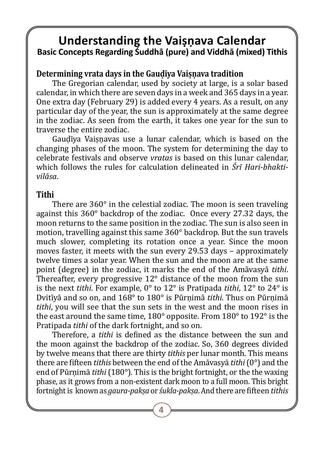## **Understanding the Vaiṣṇava Calendar Basic Concepts Regarding Śuddhā (pure) and Viddhā (mixed) Tithis**

#### **Determining vrata days in the Gauḍīya Vaiṣṇava tradition**

The Gregorian calendar, used by society at large, is a solar based calendar, in which there are seven days in a week and 365 days in a year. One extra day (February 29) is added every 4 years. As a result, on any particular day of the year, the sun is approximately at the same degree in the zodiac. As seen from the earth, it takes one year for the sun to traverse the entire zodiac.

Gaudīya Vaisnavas use a lunar calendar, which is based on the changing phases of the moon. The system for determining the day to celebrate festivals and observe *vratas* is based on this lunar calendar, which follows the rules for calculation delineated in *Śrī Hari-bhaktivilāsa*.

#### **Tithi**

There are 360° in the celestial zodiac. The moon is seen traveling against this 360° backdrop of the zodiac. Once every 27.32 days, the moon returns to the same position in the zodiac. The sun is also seen in motion, travelling against this same 360° backdrop. But the sun travels much slower, completing its rotation once a year. Since the moon moves faster, it meets with the sun every 29.53 days – approximately twelve times a solar year. When the sun and the moon are at the same point (degree) in the zodiac, it marks the end of the Amāvasyā *tithi*. Thereafter, every progressive 12° distance of the moon from the sun is the next *tithi*. For example, 0° to 12° is Pratipada *tithi*, 12° to 24° is Dvitī�yā and so on, and 168° to 180° is Pūrṇimā *tithi*. Thus on Pūrṇimā *tithi*, you will see that the sun sets in the west and the moon rises in the east around the same time, 180° opposite. From 180° to 192° is the Pratipada *tithi* of the dark fortnight, and so on.

Therefore, a *tithi* is defined as the distance between the sun and the moon against the backdrop of the zodiac. So, 360 degrees divided by twelve means that there are thirty *tithis* per lunar month. This means there are fifteen *tithis* between the end of the Amāvasyā *tithi* (0°) and the end of Pūrnimā *tithi* (180°). This is the bright fortnight, or the the waxing phase, as it grows from a non-existent dark moon to a full moon. This bright fortnight is known as *gaura-pakṣa* or *śukla-pakṣa*. And there are fifteen *tithis*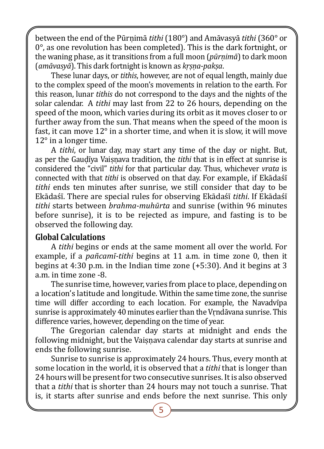between the end of the Pūrṇimā *tithi* (180°) and Amāvasyā *tithi* (360° or 0°, as one revolution has been completed). This is the dark fortnight, or the waning phase, as it transitions from a full moon (*pūrṇimā*) to dark moon (*amāvasyā*). This dark fortnight is known as *kṛṣṇa-pakṣa*.

These lunar days, or *tithis*, however, are not of equal length, mainly due to the complex speed of the moon's movements in relation to the earth. For this reason, lunar *tithis* do not correspond to the days and the nights of the solar calendar. A *tithi* may last from 22 to 26 hours, depending on the speed of the moon, which varies during its orbit as it moves closer to or further away from the sun. That means when the speed of the moon is fast, it can move 12° in a shorter time, and when it is slow, it will move 12° in a longer time.

A *tithi*, or lunar day, may start any time of the day or night. But, as per the Gauḍī�ya Vaiṣṇava tradition, the *tithi* that is in effect at sunrise is considered the "civil" *tithi* for that particular day. Thus, whichever *vrata* is connected with that *tithi* is observed on that day. For example, if Ekādaśī *tithi* ends ten minutes after sunrise, we still consider that day to be Ekādaśī. There are special rules for observing Ekādaśī *tithi*. If Ekādaśī *tithi* starts between *brahma-muhūrta* and sunrise (within 96 minutes before sunrise), it is to be rejected as impure, and fasting is to be observed the following day.

#### **Global Calculations**

A *tithi* begins or ends at the same moment all over the world. For example, if a *pañcamī-tithi* begins at 11 a.m. in time zone 0, then it begins at 4:30 p.m. in the Indian time zone (+5:30). And it begins at 3 a.m. in time zone -8.

The sunrise time, however, varies from place to place, depending on a location's latitude and longitude. Within the same time zone, the sunrise time will differ according to each location. For example, the Navadvīpa sunrise is approximately 40 minutes earlier than the Vrndāvana sunrise. This difference varies, however, depending on the time of year.

The Gregorian calendar day starts at midnight and ends the following midnight, but the Vaisnava calendar day starts at sunrise and ends the following sunrise.

Sunrise to sunrise is approximately 24 hours. Thus, every month at some location in the world, it is observed that a *tithi* that is longer than 24 hours will be present for two consecutive sunrises. It is also observed that a *tithi* that is shorter than 24 hours may not touch a sunrise. That is, it starts after sunrise and ends before the next sunrise. This only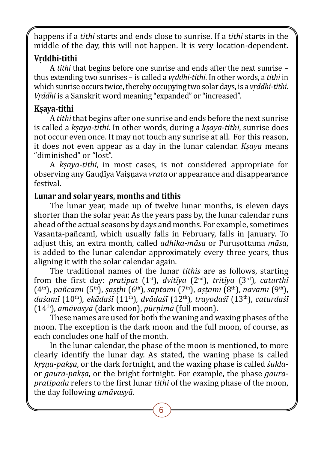happens if a *tithi* starts and ends close to sunrise. If a *tithi* starts in the middle of the day, this will not happen. It is very location-dependent.

### **Vṛddhi-tithi**

A *tithi* that begins before one sunrise and ends after the next sunrise – thus extending two sunrises – is called a *vṛddhi-tithi*. In other words, a *tithi* in which sunrise occurs twice, thereby occupying two solar days, is a *vṛddhi-tithi*. *Vṛddhi* is a Sanskrit word meaning "expanded" or "increased".

## **Kṣaya-tithi**

A *tithi* that begins after one sunrise and ends before the next sunrise is called a *kṣaya-tithi*. In other words, during a *kṣaya-tithi*, sunrise does not occur even once. It may not touch any sunrise at all. For this reason, it does not even appear as a day in the lunar calendar. *Kṣaya* means "diminished" or "lost".

A *kṣaya-tithi*, in most cases, is not considered appropriate for observing any Gauḍī�ya Vaiṣṇava *vrata* or appearance and disappearance festival.

#### **Lunar and solar years, months and tithis**

The lunar year, made up of twelve lunar months, is eleven days shorter than the solar year. As the years pass by, the lunar calendar runs ahead of the actual seasons by days and months. For example, sometimes Vasanta-pañcamī, which usually falls in February, falls in January. To adjust this, an extra month, called *adhika-māsa* or Puruṣottama *māsa*, is added to the lunar calendar approximately every three years, thus aligning it with the solar calendar again.

The traditional names of the lunar *tithis* are as follows, starting from the first day: *pratipat* (1st), *dvitīya* (2nd), *tritīya* (3rd), *caturthī* (4th), *pañcamī* (5th), *ṣaṣṭhī* (6th), *saptamī* (7th), *aṣṭamī* (8th), *navamī* (9th), *daśamī* (10th), *ekādaśī* (11th), *dvādaśī* (12th), *trayodaśī* (13th), *caturdaśī* (14th), *amāvasyā* (dark moon), *pūrṇimā* (full moon).

These names are used for both the waning and waxing phases of the moon. The exception is the dark moon and the full moon, of course, as each concludes one half of the month.

In the lunar calendar, the phase of the moon is mentioned, to more clearly identify the lunar day. As stated, the waning phase is called *kṛṣṇa-pakṣa*, or the dark fortnight, and the waxing phase is called *śukla*or *gaura-pakṣa*, or the bright fortnight. For example, the phase *gaurapratipada* refers to the first lunar *tithi* of the waxing phase of the moon, the day following *amāvasyā.*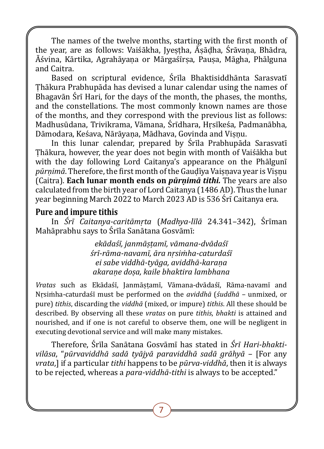The names of the twelve months, starting with the first month of the year, are as follows: Vaiśākha, Jyestha, Āsādha, Śrāvana, Bhādra, Āśvina, Kārtika, Agrahāyana or Mārgaśīrsa, Pausa, Māgha, Phālguna and Caitra.

Based on scriptural evidence, Śrīla Bhaktisiddhānta Sarasvatī Ṭhākura Prabhupāda has devised a lunar calendar using the names of Bhagavān Śrī Hari, for the days of the month, the phases, the months, and the constellations. The most commonly known names are those of the months, and they correspond with the previous list as follows: Madhusūdana, Trivikrama, Vāmana, Śrīdhara, Hrsīkeśa, Padmanābha, Dāmodara, Keśava, Nārāyaṇa, Mādhava, Govinda and Viṣṇu.

In this lunar calendar, prepared by Śrīla Prabhupāda Sarasvatī Ṭhākura, however, the year does not begin with month of Vaiśākha but with the day following Lord Caitanya's appearance on the Phālgunī *pūrṇimā*. Therefore, the first month of the Gauḍī�ya Vaiṣṇava year is Viṣṇu (Caitra). **Each lunar month ends on** *pūrṇimā tithi.* The years are also calculated from the birth year of Lord Caitanya (1486 AD). Thus the lunar year beginning March 2022 to March 2023 AD is 536 Śrī Caitanya era.

#### **Pure and impure tithis**

In *Śrī Caitanya-caritāmrta* (*Madhya-līlā* 24.341–342), Śrīman Mahāprabhu says to Śrīļa Sanātana Gosvāmī:

> *ekādaśī, janmāṣṭamī, vāmana-dvādaśī śrī-rāma-navamī, āra nṛsiṁha-caturdaśī ei sabe viddhā-tyāga, aviddhā-karaṇa akaraṇe doṣa, kaile bhaktira lambhana*

*Vratas* such as Ekādaśī�, Janmāṣṭamī�, Vāmana-dvādaśī�, Rāma-navamī� and Nṛsiṁha-caturdaśī� must be performed on the *aviddhā* (*śuddhā* – unmixed, or pure) *tithis*, discarding the *viddhā* (mixed, or impure) *tithis*. All these should be described. By observing all these *vratas* on pure *tithis*, *bhakti* is attained and nourished, and if one is not careful to observe them, one will be negligent in executing devotional service and will make many mistakes.

Therefore, Ś�rī�la Sanātana Gosvāmī�has stated in *Śrī Hari-bhaktivilāsa*, "*pūrvaviddhā sadā tyājyā paraviddhā sadā grāhyā* – [For any *vrata*,] if a particular *tithi* happens to be *pūrva-viddhā*, then it is always to be rejected, whereas a *para-viddhā-tithi* is always to be accepted."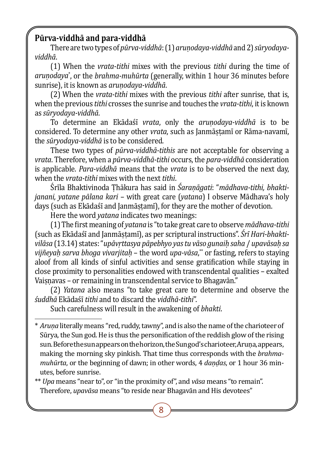## **Pūrva-viddhā and para-viddhā**

There are two types of *pūrva-viddhā*: (1) *aruṇodaya-viddhā* and 2) *sūryodayaviddhā*.

(1) When the *vrata-tithi* mixes with the previous *tithi* during the time of *aruṇodaya*\* , or the *brahma-muhūrta* (generally, within 1 hour 36 minutes before sunrise), it is known as *aruṇodaya-viddhā*.

(2) When the *vrata-tithi* mixes with the previous *tithi* after sunrise, that is, when the previous *tithi* crosses the sunrise and touches the *vrata-tithi*, it is known as *sūryodaya-viddhā*.

To determine an Ekādaśī� *vrata*, only the *aruṇodaya-viddhā* is to be considered. To determine any other *vrata*, such as Janmāstamī or Rāma-navamī, the *sūryodaya-viddhā* is to be considered.

These two types of *pūrva-viddhā-tithis* are not acceptable for observing a *vrata*. Therefore, when a *pūrva-viddhā-tithi* occurs, the *para-viddhā* consideration is applicable. *Para-viddhā* means that the *vrata* is to be observed the next day, when the *vrata-tithi* mixes with the next *tithi*.

Ś�rī�la Bhaktivinoda Ṭhākura has said in *Śaraṇāgati*: "*mādhava-tithi, bhaktijanani, yatane pālana kari* – with great care (*yatana*) I observe Mādhava's holy days (such as Ekādaśī and Janmāstamī), for they are the mother of devotion.

Here the word *yatana* indicates two meanings:

(1) The first meaning of *yatana* is "to take great care to observe *mādhava-tithi* (such as Ekādaśī and Janmāstamī), as per scriptural instructions". *Śrī Hari-bhaktivilāsa* (13.14) states: "*upāvṛttasya pāpebhyo yas tu vāso gunaiḥ saha* / *upavāsaḥ sa vijñeyaḥ sarva bhoga vivarjitaḥ* – the word *upa-vāsa*, \*\* or fasting, refers to staying aloof from all kinds of sinful activities and sense gratification while staying in close proximity to personalities endowed with transcendental qualities – exalted Vaisnavas – or remaining in transcendental service to Bhagavān."

(2) *Yatana* also means "to take great care to determine and observe the *śuddhā* Ekādaśī� *tithi* and to discard the *viddhā-tithi*".

Such carefulness will result in the awakening of *bhakti*.

\*\* *Upa* means "near to", or "in the proximity of", and *vāsa* means "to remain". Therefore, *upavāsa* means "to reside near Bhagavān and His devotees"

<sup>\*</sup> *Aruṇa* literally means "red, ruddy, tawny", and is also the name of the charioteer of Sūrya, the Sun god.He is thus the personification of the reddish glow of the rising sun. Before the sun appears on the horizon, the Sun god's charioteer, Aruṇa, appears, making the morning sky pinkish. That time thus corresponds with the *brahmamuhūrta*, or the beginning of dawn; in other words, 4 *daṇḍas*, or 1 hour 36 minutes, before sunrise.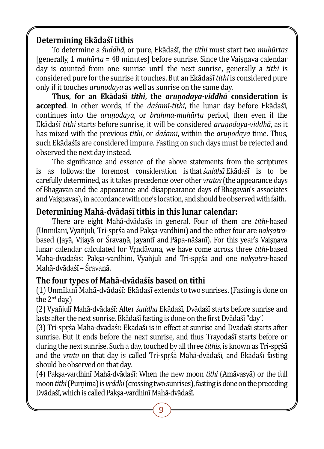## **Determining Ekādaśī tithis**

To determine a *śuddhā*, or pure, Ekādaśī, the *tithi* must start two *muhūrtas* [generally, 1 *muhūrta* = 48 minutes] before sunrise. Since the Vaisnava calendar day is counted from one sunrise until the next sunrise, generally a *tithi* is considered pure for the sunrise it touches. But an Ekādaśī� *tithi* is considered pure only if it touches *aruṇodaya* as well as sunrise on the same day.

**Thus, for an Ekādaśī** *tithi***, the** *aruṇodaya-viddhā* **consideration is accepted**. In other words, if the *daśamī-tithi*, the lunar day before Ekādaśī, continues into the *aruṇodaya*, or *brahma-muhūrta* period, then even if the Ekādaśī� *tithi* starts before sunrise, it will be considered *aruṇodaya-viddhā*, as it has mixed with the previous *tithi*, or *daśamī*, within the *aruṇodaya* time. Thus, such Ekādaśīs are considered impure. Fasting on such days must be rejected and observed the next day instead.

The significance and essence of the above statements from the scriptures is as follows: the foremost consideration is that *suddhā* Ekādaśī is to be carefully determined, as it takes precedence over other *vratas*(the appearance days of Bhagavān and the appearance and disappearance days of Bhagavān's associates and Vaisnavas), in accordance with one's location, and should be observed with faith.

### **Determining Mahā-dvādaśī tithis in this lunar calendar:**

There are eight Mahā-dvādaśīs in general. Four of them are *tithi*-based (Unmīlanī, Vyañjulī, Tri-sprśā and Paksa-vardhinī) and the other four are *naksatra*based (Javā, Vijavā or Śravanā, Javantī and Pāpa-nāśanī). For this year's Vaisnava lunar calendar calculated for Vṛndāvana, we have come across three *tithi*-based Mahā-dvādaśīs: Paksa-vardhinī, Vyañjulī and Tri-sprśā and one *naksatra*-based Mahā-dvādaśī – Śravanā.

## **The four types of Mahā-dvādaśīs based on tithi**

(1) Unmīlanī Mahā-dvādaśī: Ekādaśī extends to two sunrises. (Fasting is done on the 2<sup>nd</sup> day.)

(2) Vyañjulī� Mahā-dvādaśī�: After *śuddha* Ekādaśī�, Dvādaśī� starts before sunrise and lasts after the next sunrise. Ekādaśī fasting is done on the first Dvādaśī "day".

(3) Tri-sprśā Mahā-dvādaśī: Ekādaśī is in effect at sunrise and Dvādaśī starts after sunrise. But it ends before the next sunrise, and thus Travodast starts before or during the next sunrise. Such a day, touched by all three *tithis*, is known as Tri-spṛśā and the *vrata* on that day is called Tri-sprśā Mahā-dvādaśī, and Ekādaśī fasting should be observed on that day.

(4) Pakṣa-vardhinī� Mahā-dvādaśī�: When the new moon *tithi* (Amāvasyā) or the full moon *tithi* (Pūrnimā) is *vrddhi* (crossing two sunrises), fasting is done on the preceding Dvādaśī, which is called Paksa-vardhinī Mahā-dvādaśī.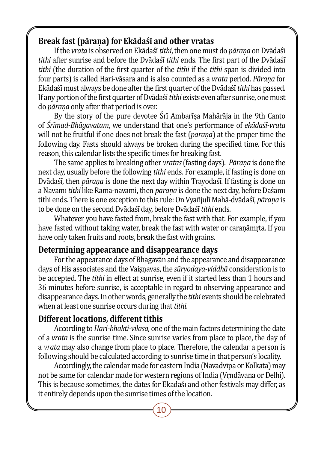### **Break fast (pāraṇa) for Ekādaśī and other vratas**

If the *vrata* is observed on Ekādaśī *tithi*, then one must do *pārana* on Dvādaśī tithi after sunrise and before the Dvādaśī tithi ends. The first part of the Dvādaśī *tithi* (the duration of the first quarter of the *tithi* if the *tithi* span is divided into four parts) is called Hari-vāsara and is also counted as a *vrata* period. *Pāraṇa* for Ekādaśī� must always be done after the first quarter of the Dvādaśī� *tithi* has passed. If any portion of the first quarter of Dvādaśī *tithi* exists even after sunrise, one must do *pāraṇa* only after that period is over.

By the story of the pure devotee Śrī Ambarīṣa Mahārāja in the 9th Canto of *Śrīmad-Bhāgavatam*, we understand that one's performance of *ekādaśī-vrata* will not be fruitful if one does not break the fast (*pāraṇa*) at the proper time the following day. Fasts should always be broken during the specified time. For this reason, this calendar lists the specific times for breaking fast.

The same applies to breaking other *vratas* (fasting days). *Pāraṇa* is done the next day, usually before the following *tithi* ends. For example, if fasting is done on Dvādaśī, then *pārana* is done the next day within Trayodaśī. If fasting is done on a Navamī *tithi* like Rāma-navami, then *pārana* is done the next day, before Daśamī tithi ends. There is one exception to this rule: On Vyañjulī Mahā-dvādaśī, *pārana* is to be done on the second Dvādaśī day, before Dvādaśī *tithi* ends.

Whatever you have fasted from, break the fast with that. For example, if you have fasted without taking water, break the fast with water or caranāmrta. If you have only taken fruits and roots, break the fast with grains.

#### **Determining appearance and disappearance days**

For the appearance days of Bhagavān and the appearance and disappearance days of His associates and the Vaisnavas, the *sūryodaya-viddhā* consideration is to be accepted. The *tithi* in effect at sunrise, even if it started less than 1 hours and 36 minutes before sunrise, is acceptable in regard to observing appearance and disappearance days. In other words, generally the *tithi* events should be celebrated when at least one sunrise occurs during that *tithi*.

### **Different locations, different tithis**

According to *Hari-bhakti-vilāsa,* one of the main factors determining the date of a *vrata* is the sunrise time. Since sunrise varies from place to place, the day of a *vrata* may also change from place to place. Therefore, the calendar a person is following should be calculated according to sunrise time in that person's locality.

Accordingly, the calendar made for eastern India (Navadvīpa or Kolkata) may not be same for calendar made for western regions of India (Vṛndāvana or Delhi). This is because sometimes, the dates for Ekādaśī and other festivals may differ, as it entirely depends upon the sunrise times of the location.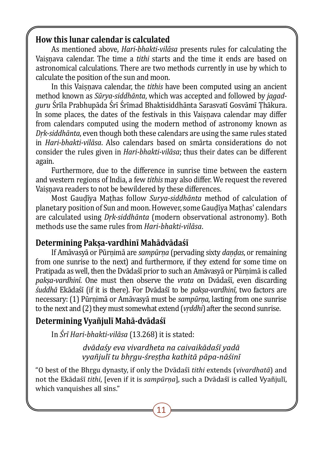#### **How this lunar calendar is calculated**

As mentioned above, *Hari-bhakti-vilāsa* presents rules for calculating the Vaisnava calendar. The time a *tithi* starts and the time it ends are based on astronomical calculations. There are two methods currently in use by which to calculate the position of the sun and moon.

In this Vaisnava calendar, the *tithis* have been computed using an ancient method known as *Sūrya-siddhānta*, which was accepted and followed by *jagadguru* Śrīla Prabhupāda Śrī Śrīmad Bhaktisiddhānta Sarasvatī Gosvāmī Thākura. In some places, the dates of the festivals in this Vaisnava calendar may differ from calendars computed using the modern method of astronomy known as *Dṛk-siddhānta*, even though both these calendars are using the same rules stated in *Hari-bhakti-vilāsa*. Also calendars based on smārta considerations do not consider the rules given in *Hari-bhakti-vilāsa*; thus their dates can be different again.

Furthermore, due to the difference in sunrise time between the eastern and western regions of India, a few *tithis* may also differ. We request the revered Vaisnava readers to not be bewildered by these differences.

Most Gauḍī�ya Maṭhas follow *Surya-siddhānta* method of calculation of planetary position of Sun and moon. However, some Gaudīya Mathas' calendars are calculated using *Dṛk-siddhānta* (modern observational astronomy). Both methods use the same rules from *Hari-bhakti-vilāsa*.

### **Determining Pakṣa-vardhinī Mahādvādaśī**

If Amāvasyā or Pūrṇimā are *sampūrṇa* (pervading sixty *daṇḍas*, or remaining from one sunrise to the next) and furthermore, if they extend for some time on Pratipada as well, then the Dvādaśī prior to such an Amāvasyā or Pūrnimā is called *paksa-vardhinī*. One must then observe the *vrata* on Dvādaśī, even discarding *śuddhā* Ekādaśī� (if it is there). For Dvādaśī� to be *pakṣa-vardhinī*, two factors are necessary: (1) Pūrṇimā or Amāvasyā must be *sampūrṇa*, lasting from one sunrise to the next and (2) they must somewhat extend (*vṛddhi*) after the second sunrise.

## **Determining Vyañjulī Mahā-dvādaśī**

In *Śrī Hari-bhakti-vilāsa* (13.268) it is stated:

*dvādaśy eva vivardheta na caivaikādaśī yadā vyañjulī tu bhṛgu-śreṣṭha kathitā pāpa-nāśinī*

"O best of the Bhṛgu dynasty, if only the Dvādaśī� *tithi* extends (*vivardhatā*) and not the Ekādaśī *tithi*, [even if it is *sampūrna*], such a Dvādaśī is called Vyañjulī, which vanquishes all sins."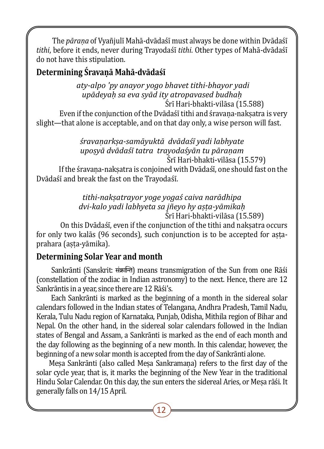The *pārana* of Vyañjulī Mahā-dvādaśī must always be done within Dvādaśī *tithi*, before it ends, never during Trayodaśī� *tithi*. Other types of Mahā-dvādaśī� do not have this stipulation.

## **Determining Śravaṇā Mahā-dvādaśī**

 *aty-alpo 'py anayor yogo bhavet tithi-bhayor yadi upādeyaḥ sa eva syād ity atropavased budhaḥ*

Šrī Hari-bhakti-vilāsa (15.588)

Even if the conjunction of the Dvadaši tithi and šravaṇa-nakṣatra is very slight—that alone is acceptable, and on that day only, a wise person will fast.

#### *śravaṇarkṣa-samāyuktā dvādaśī yadi labhyate upoṣyā dvādaśī tatra trayodaśyān tu pāraṇam* Ś�rī� Hari-bhakti-vilāsa (15.579)

If the śravana-nakṣatra is conjoined with Dvādaśī, one should fast on the Dvādaśī and break the fast on the Trayodaśī.

*tithi-nakṣatrayor yoge yogaś caiva narādhipa dvi-kalo yadi labhyeta sa jñeyo hy aṣṭa-yāmikaḥ* Sri Hari-bhakti-vilasa (15.589)

On this Dvadaši, even if the conjunction of the tithi and nakṣatra occurs for only two kalās (96 seconds), such conjunction is to be accepted for astaprahara (aṣṭa-yāmika).

## **Determining Solar Year and month**

 Sankrānti (Sanskrit: संक्रान्ति) means transmigration of the Sun from one Rāśi (constellation of the zodiac in Indian astronomy) to the next. Hence, there are 12 Sankrāntis in a year, since there are 12 Rāśi's.

 Each Sankrānti is marked as the beginning of a month in the sidereal solar calendars followed in the Indian states of Telangana, Andhra Pradesh, Tamil Nadu, Kerala, Tulu Nadu region of Karnataka, Punjab, Odisha, Mithila region of Bihar and Nepal. On the other hand, in the sidereal solar calendars followed in the Indian states of Bengal and Assam, a Sankrānti is marked as the end of each month and the day following as the beginning of a new month. In this calendar, however, the beginning of a new solar month is accepted from the day of Sankrānti alone.

Mesa Sankrānti (also called Mesa Sankramana) refers to the first day of the solar cycle year, that is, it marks the beginning of the New Year in the traditional Hindu Solar Calendar. On this day, the sun enters the sidereal Aries, or Mesa rāśi. It generally falls on 14/15 April.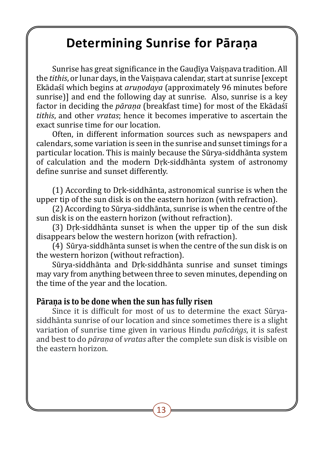## **Determining Sunrise for Pāraṇa**

Sunrise has great significance in the Gaudīya Vaisnaya tradition. All the *tithis*, or lunar days, in the Vaisnava calendar, start at sunrise [except Ekādaśī� which begins at *aruṇodaya* (approximately 96 minutes before sunrise)] and end the following day at sunrise. Also, sunrise is a key factor in deciding the *pārana* (breakfast time) for most of the Ekādaśī *tithis*, and other *vratas*; hence it becomes imperative to ascertain the exact sunrise time for our location.

Often, in different information sources such as newspapers and calendars, some variation is seen in the sunrise and sunset timings for a particular location. This is mainly because the Sūrya-siddhānta system of calculation and the modern Dṛk-siddhānta system of astronomy define sunrise and sunset differently.

(1) According to Dṛk-siddhānta, astronomical sunrise is when the upper tip of the sun disk is on the eastern horizon (with refraction).

(2) According to Sūrya-siddhānta, sunrise is when the centre of the sun disk is on the eastern horizon (without refraction).

(3) Dṛk-siddhānta sunset is when the upper tip of the sun disk disappears below the western horizon (with refraction).

(4) Sūrya-siddhānta sunset is when the centre of the sun disk is on the western horizon (without refraction).

Sūrya-siddhānta and Dṛk-siddhānta sunrise and sunset timings may vary from anything between three to seven minutes, depending on the time of the year and the location.

#### **Pāraṇa is to be done when the sun has fully risen**

Since it is difficult for most of us to determine the exact Sūryasiddhānta sunrise of our location and since sometimes there is a slight variation of sunrise time given in various Hindu *pañcāṅgs*, it is safest and best to do *pāraṇa* of *vratas* after the complete sun disk is visible on the eastern horizon.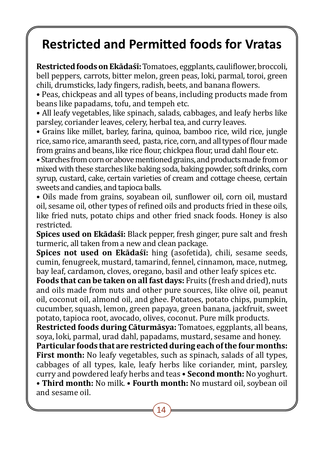## **Restricted and Permitted foods for Vratas**

**Restricted foods on Ekādaśī:** Tomatoes, eggplants, cauliflower, broccoli, bell peppers, carrots, bitter melon, green peas, loki, parmal, toroi, green chili, drumsticks, lady fingers, radish, beets, and banana flowers.

• Peas, chickpeas and all types of beans, including products made from beans like papadams, tofu, and tempeh etc.

• All leafy vegetables, like spinach, salads, cabbages, and leafy herbs like parsley, coriander leaves, celery, herbal tea, and curry leaves.

• Grains like millet, barley, farina, quinoa, bamboo rice, wild rice, jungle rice, samo rice, amaranth seed, pasta, rice, corn, and all types of flour made from grains and beans, like rice flour, chickpea flour, urad dahl flour etc.

• Starches from corn or above mentioned grains, and products made from or mixed with these starches like baking soda, baking powder, soft drinks, corn syrup, custard, cake, certain varieties of cream and cottage cheese, certain sweets and candies, and tapioca balls.

• Oils made from grains, soyabean oil, sunflower oil, corn oil, mustard oil, sesame oil, other types of refined oils and products fried in these oils, like fried nuts, potato chips and other fried snack foods. Honey is also restricted.

**Spices used on Ekādaśī:** Black pepper, fresh ginger, pure salt and fresh turmeric, all taken from a new and clean package.

**Spices not used on Ekādaśī:** hing (asofetida), chili, sesame seeds, cumin, fenugreek, mustard, tamarind, fennel, cinnamon, mace, nutmeg, bay leaf, cardamon, cloves, oregano, basil and other leafy spices etc.

**Foods that can be taken on all fast days:** Fruits (fresh and dried), nuts and oils made from nuts and other pure sources, like olive oil, peanut oil, coconut oil, almond oil, and ghee. Potatoes, potato chips, pumpkin, cucumber, squash, lemon, green papaya, green banana, jackfruit, sweet potato, tapioca root, avocado, olives, coconut. Pure milk products.

**Restricted foods during Cāturmāsya:** Tomatoes, eggplants, all beans, soya, loki, parmal, urad dahl, papadams, mustard, sesame and honey.

**Particular foods that are restricted during each of the four months: First month:** No leafy vegetables, such as spinach, salads of all types, cabbages of all types, kale, leafy herbs like coriander, mint, parsley, curry and powdered leafy herbs and teas • **Second month:** No yoghurt.

• **Third month:** No milk. • **Fourth month:** No mustard oil, soybean oil and sesame oil.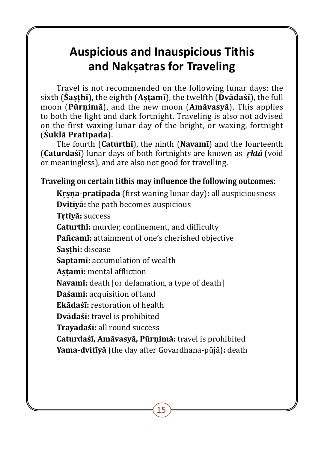## **Auspicious and Inauspicious Tithis and Nakṣatras for Traveling**

Travel is not recommended on the following lunar days: the sixth (**Śaṣṭhī**), the eighth (**Aṣṭamī**), the twelfth (**Dvādaśī**), the full moon (**Pūrṇimā**), and the new moon (**Amāvasyā**). This applies to both the light and dark fortnight. Traveling is also not advised on the first waxing lunar day of the bright, or waxing, fortnight (**Śuklā Pratipada**).

The fourth (**Caturthī**), the ninth (**Navamī**) and the fourteenth (**Caturdaśī**) lunar days of both fortnights are known as *ṛktā* (void or meaningless), and are also not good for travelling.

#### **Traveling on certain tithis may influence the following outcomes:**

**Kṛṣṇa**-**pratipada** (first waning lunar day)**:** all auspiciousness **Dvitīyā:** the path becomes auspicious **Tṛtīyā:** success **Caturthī:** murder, confinement, and difficulty **Pañcamī:** attainment of one's cherished objective Sasthi: disease **Saptamī:** accumulation of wealth **Aṣṭamī:** mental affliction **Navamī:** death [or defamation, a type of death] **Daśami:** acquisition of land **Ekādaśī:** restoration of health **Dvādaśī:** travel is prohibited **Trayadaśī:** all round success **Caturdaśī, Amāvasyā, Pūrṇimā:** travel is prohibited **Yama-dvitīyā** (the day after Govardhana-pūjā)**:** death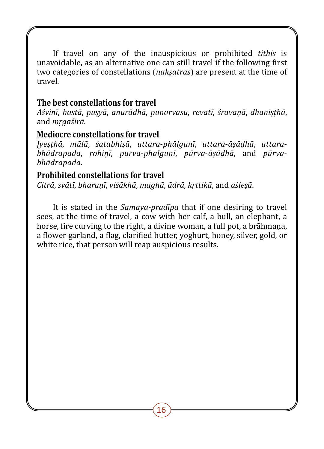If travel on any of the inauspicious or prohibited *tithis* is unavoidable, as an alternative one can still travel if the following first two categories of constellations (*nakṣatras*) are present at the time of travel.

#### **The best constellations for travel**

*Aśvinī*, *hastā*, *puṣyā*, *anurādhā*, *punarvasu*, *revatī*, *śravaṇā*, *dhaniṣṭhā*, and *mṛgaśirā*.

#### **Mediocre constellations for travel**

*Jyeṣṭhā*, *mūlā*, *śatabhiṣā*, *uttara*-*phālgunī*, *uttara*-*āṣāḍhā*, *uttarabhādrapada*, *rohiṇī*, *purva*-*phalgunī*, *pūrva*-*āṣāḍhā*, and *pūrvabhādrapada*.

### **Prohibited constellations for travel**

*Citrā*, *svātī*, *bharaṇī*, *viśākhā*, *maghā*, *ādrā*, *kṛttikā*, and *aśleṣā*.

It is stated in the *Samaya-pradīpa* that if one desiring to travel sees, at the time of travel, a cow with her calf, a bull, an elephant, a horse, fire curving to the right, a divine woman, a full pot, a brāhmaṇa, a flower garland, a flag, clarified butter, yoghurt, honey, silver, gold, or white rice, that person will reap auspicious results.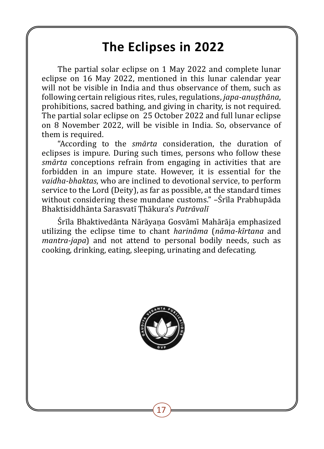## **The Eclipses in 2022**

The partial solar eclipse on 1 May 2022 and complete lunar eclipse on 16 May 2022, mentioned in this lunar calendar year will not be visible in India and thus observance of them, such as following certain religious rites, rules, regulations, *japa-anuṣṭhāna*, prohibitions, sacred bathing, and giving in charity, is not required. The partial solar eclipse on 25 October 2022 and full lunar eclipse on 8 November 2022, will be visible in India. So, observance of them is required.

"According to the *smārta* consideration, the duration of eclipses is impure. During such times, persons who follow these *smārta* conceptions refrain from engaging in activities that are forbidden in an impure state. However, it is essential for the *vaidha-bhaktas*, who are inclined to devotional service, to perform service to the Lord (Deity), as far as possible, at the standard times without considering these mundane customs." –Śrīla Prabhupāda Bhaktisiddhānta Sarasvatī� Ṭhākura's *Patrāvalī*

Śrīla Bhaktivedānta Nārāyana Gosvāmī Mahārāja emphasized utilizing the eclipse time to chant *harināma* (*nāma-kīrtana* and *mantra-japa*) and not attend to personal bodily needs, such as cooking, drinking, eating, sleeping, urinating and defecating.

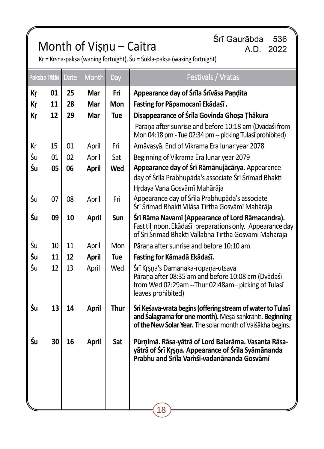# Śrī Gaurābda 536 Month of Viṣṇu – Caitra A.D. 2022

|    | Paksba Tithi | <b>Date</b> | <b>Month</b> | Day        | Festivals / Vratas                                                                                                                                                                   |
|----|--------------|-------------|--------------|------------|--------------------------------------------------------------------------------------------------------------------------------------------------------------------------------------|
| Кŗ | 01           | 25          | Mar          | Fri        | Appearance day of Śrīla Śrīvāsa Paṇḍita                                                                                                                                              |
| Кŗ | 11           | 28          | Mar          | Mon        | Fasting for Pāpamocanī Ekādaśī.                                                                                                                                                      |
| Кr | 12           | 29          | Mar          | <b>Tue</b> | Disappearance of Śrīla Govinda Ghosa Thäkura                                                                                                                                         |
|    |              |             |              |            | Pārana after sunrise and before 10:18 am (Dvādaśī from<br>Mon 04:18 pm - Tue 02:34 pm -- picking Tulasī prohibited)                                                                  |
| Кŗ | 15           | 01          | April        | Fri        | Amāvasyā. End of Vikrama Era lunar year 2078                                                                                                                                         |
| Śu | 01           | 02          | April        | Sat        | Beginning of Vikrama Era lunar year 2079                                                                                                                                             |
| Śu | 05           | 06          | April        | Wed        | Appearance day of Śrī Rāmānujācārya. Appearance                                                                                                                                      |
|    |              |             |              |            | day of Śrīla Prabhupāda's associate Śrī Śrīmad Bhakti<br>Hrdaya Vana Gosvāmī Mahārāja                                                                                                |
| Śu | 07           | 08          | April        | Fri        | Appearance day of Śrīla Prabhupāda's associate<br>Śrī Śrīmad Bhakti Vilāsa Tīrtha Gosvāmī Mahārāja                                                                                   |
| Śu | 09           | 10          | <b>April</b> | Sun        | Śrī Rāma Navamī (Appearance of Lord Rāmacandra).<br>Fast till noon. Ekādaśī preparations only. Appearance day<br>of Śrī Śrīmad Bhakti Vallabha Tīrtha Gosvāmī Mahārāja               |
| Śu | 10           | 11          | April        | Mon        | Pārana after sunrise and before 10:10 am                                                                                                                                             |
| Śu | 11           | 12          | April        | Tue        | Fasting for Kāmadā Ekādaśī.                                                                                                                                                          |
| Śu | 12           | 13          | April        | Wed        | Śrī Krsna's Damanaka-ropaņa-utsava<br>Pārana after 08:35 am and before 10:08 am (Dvādaśī<br>from Wed 02:29am --Thur 02:48am- picking of Tulasī<br>leaves prohibited)                 |
| Śu | 13           | 14          | April        | Thur       | Sri Keśava-vrata begins (offering stream of water to Tulasī<br>and Salagrama for one month). Mesa-sankrānti. Beginning<br>of the New Solar Year. The solar month of Vaiśākha begins. |
| Śu | 30           | 16          | April        | Sat        | Pūrņimā. Rāsa-yātrā of Lord Balarāma. Vasanta Rāsa-<br>yātrā of Śrī Kṛṣṇa. Appearance of Śrīla Syāmānanda<br>Prabhu and Śrīla Vamśī-vadanānanda Gosvāmī                              |
|    |              |             |              |            | 18                                                                                                                                                                                   |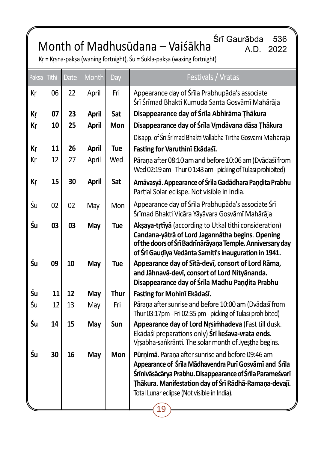Śrī Gaurābda 536 Month of Madhusūdana – Vaiśākha A.D. 2022

| Paksa Tithi |    | Date | Month        | Day  | Festivals / Vratas                                                                                                                                                                                                                                                                      |
|-------------|----|------|--------------|------|-----------------------------------------------------------------------------------------------------------------------------------------------------------------------------------------------------------------------------------------------------------------------------------------|
| Кr          | 06 | 22   | April        | Fri  | Appearance day of Śrīla Prabhupāda's associate<br>Śrī Śrīmad Bhakti Kumuda Santa Gosvāmī Mahārāja                                                                                                                                                                                       |
| Кr          | 07 | 23   | April        | Sat  | Disappearance day of Śrīla Abhirāma Țhākura                                                                                                                                                                                                                                             |
| Кr          | 10 | 25   | April        | Mon  | Disappearance day of Śrīla Vrndāvana dāsa Thākura                                                                                                                                                                                                                                       |
|             |    |      |              |      | Disapp. of Śrī Śrīmad Bhakti Vallabha Tīrtha Gosvāmī Mahārāja                                                                                                                                                                                                                           |
| Кr          | 11 | 26   | <b>April</b> | Tue  | Fasting for Varuthinī Ekādaśī.                                                                                                                                                                                                                                                          |
| Кr          | 12 | 27   | April        | Wed  | Pāraņa after 08:10 am and before 10:06 am (Dvādaśī from<br>Wed 02:19 am - Thur 0 1:43 am - picking of Tulasī prohibited)                                                                                                                                                                |
| Кŗ          | 15 | 30   | April        | Sat  | Amāvasyā. Appearance of Śrīla Gadādhara Pandita Prabhu<br>Partial Solar eclispe. Not visible in India.                                                                                                                                                                                  |
| Śu          | 02 | 02   | May          | Mon  | Appearance day of Śrīla Prabhupāda's associate Śrī<br>Śrīmad Bhakti Vicāra Yāyāvara Gosvāmī Mahārāja                                                                                                                                                                                    |
| Śu          | 03 | 03   | May          | Tue  | Aksaya-trtīyā (according to Utkal tithi consideration)<br>Candana-yātrā of Lord Jagannātha begins. Opening<br>of the doors of Srī Badrīnārāyaṇa Temple. Anniversary day<br>of Śrī Gauḍīya Vedānta Samiti's inauguration in 1941.                                                        |
| Śu          | 09 | 10   | May          | Tue  | Appearance day of Sītā-devī, consort of Lord Rāma,<br>and Jāhnavā-devī, consort of Lord Nityānanda.<br>Disappearance day of Śrīla Madhu Paṇḍita Prabhu                                                                                                                                  |
| Śu          | 11 | 12   | May          | Thur | Fasting for Mohinī Ekādaśī.                                                                                                                                                                                                                                                             |
| Śu          | 12 | 13   | May          | Fri  | Pārana after sunrise and before 10:00 am (Dvādaśī from<br>Thur 03:17pm - Fri 02:35 pm - picking of Tulasī prohibited)                                                                                                                                                                   |
| Śu          | 14 | 15   | May          | Sun  | Appearance day of Lord Nrsimhadeva (Fast till dusk.<br>Ekādaśī preparations only) Srī kesava-vrata ends.<br>Vrsabha-sankrānti. The solar month of Jyestha begins.                                                                                                                       |
| Śu          | 30 | 16   | May          | Mon  | Pūrnimā. Pārana after sunrise and before 09:46 am<br>Appearance of Śrīla Mādhavendra Purī Gosvāmī and Śrīla<br>Śrīnivāsācārya Prabhu. Disappearance of Śrīla Parameśvarī<br>Thākura. Manifestation day of Śrī Rādhā-Ramaṇa-devajī.<br>Total Lunar eclipse (Not visible in India).<br>19 |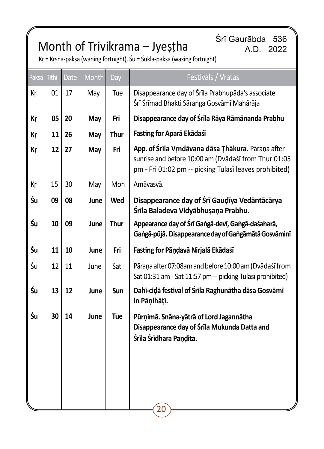## Srī Gaurābda 536 Month of Trivikrama – Jyeṣṭha Srī Gaurābda 536

| Pakṣa Tithi |    | <b>Date</b> | Month | Day         | Festivals / Vratas                                                                                                                                                   |
|-------------|----|-------------|-------|-------------|----------------------------------------------------------------------------------------------------------------------------------------------------------------------|
| Кr          | 01 | 17          | May   | Tue         | Disappearance day of Śrīla Prabhupāda's associate<br>Śrī Śrīmad Bhakti Sāranga Gosvāmī Mahārāja                                                                      |
| Кr          | 05 | 20          | May   | Fri         | Disappearance day of Śrīla Rāya Rāmānanda Prabhu                                                                                                                     |
| Кŗ          | 11 | 26          | May   | <b>Thur</b> | Fasting for Aparā Ekādaśī                                                                                                                                            |
| Кr          | 12 | 27          | May   | Fri         | App. of Śrīla Vrndāvana dāsa Thākura. Pāraņa after<br>sunrise and before 10:00 am (Dvādaśī from Thur 01:05<br>pm - Fri 01:02 pm -- picking Tulasī leaves prohibited) |
| Кŗ          | 15 | 30          | May   | Mon         | Amāvasyā.                                                                                                                                                            |
| Śu          | 09 | 08          | June  | Wed         | Disappearance day of Śrī Gaudīya Vedāntācārya<br>Śrīla Baladeva Vidyābhuṣaṇa Prabhu.                                                                                 |
| Śu          | 10 | 09          | June  | Thur        | Appearance day of Śrī Gangā-devī, Gangā-daśaharā,<br>Gangā-pūjā. Disappearance day of Gangāmātā Gosvāminī                                                            |
| Śu          | 11 | 10          | June  | Fri         | Fasting for Pāṇḍavā Nirjalā Ekādaśī                                                                                                                                  |
| Śu          | 12 | 11          | June  | Sat         | Pāraņa after 07:08am and before 10:00 am (Dvādaśī from<br>Sat 01:31 am - Sat 11:57 pm -- picking Tulasī prohibited)                                                  |
| Śu          | 13 | 12          | June  | Sun         | Dahī-cidā festival of Śrīla Raghunātha dāsa Gosvāmī<br>in Pānihātī.                                                                                                  |
| Śu          | 30 | 14          | June  | Tue         | Pūrņimā. Snāna-yātrā of Lord Jagannātha<br>Disappearance day of Śrīla Mukunda Datta and<br>Śrīla Śrīdhara Paņdita.                                                   |
|             |    |             |       |             | 20                                                                                                                                                                   |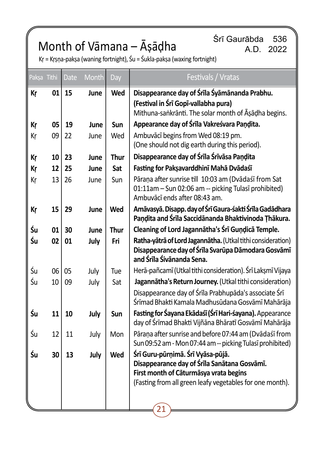# Śrī Gaurābda 536 Month of Vāmana – Āṣāḍha A.D. 2022

| Paksa Tithi |    | <b>Date</b> | Month | Day  | Festivals / Vratas                                                                                                                                                                            |
|-------------|----|-------------|-------|------|-----------------------------------------------------------------------------------------------------------------------------------------------------------------------------------------------|
| Кr          | 01 | 15          | June  | Wed  | Disappearance day of Śrīla Śyāmānanda Prabhu.<br>(Festival in Śrī Gopī-vallabha pura)<br>Mithuna-sankrānti. The solar month of Āsādha begins.                                                 |
| Кr          | 05 | 19          | June  | Sun  | Appearance day of Śrīla Vakreśvara Paņdita.                                                                                                                                                   |
| Kr          | 09 | 22          | June  | Wed  | Ambuvācī begins from Wed 08:19 pm.<br>(One should not dig earth during this period).                                                                                                          |
| Кr          | 10 | 23          | June  | Thur | Disappearance day of Śrīla Śrīvāsa Paņḍita                                                                                                                                                    |
| Кr          | 12 | 25          | June  | Sat  | Fasting for Paksavarddhinī Mahā Dvādaśī                                                                                                                                                       |
| Кr          | 13 | 26          | June  | Sun  | Pārana after sunrise till 10:03 am (Dvādaśī from Sat<br>01:11am - Sun 02:06 am -- picking Tulasī prohibited)<br>Ambuvācī ends after 08:43 am.                                                 |
| Кr          | 15 | 29          | June  | Wed  | Amāvasyā. Disapp. day of Śrī Gaura-śakti Śrīla Gadādhara<br>Paņdita and Śrīla Saccidānanda Bhaktivinoda Ţhākura.                                                                              |
| Śu          | 01 | 30          | June  | Thur | Cleaning of Lord Jagannātha's Śrī Guṇḍicā Temple.                                                                                                                                             |
| Śu          | 02 | 01          | July  | Fri  | Ratha-vātrā of Lord Jagannātha. (Utkal tithi consideration)<br>Disappearance day of Śrīla Svarūpa Dāmodara Gosvāmī<br>and Śrīla Śivānanda Sena.                                               |
| Śu          | 06 | 05          | July  | Tue  | Herā-pañcamī (Utkal tithi consideration). Śrī Lakṣmī Vijaya                                                                                                                                   |
| Śu          | 10 | 09          | July  | Sat  | Jagannātha's Return Journey. (Utkal tithi consideration)                                                                                                                                      |
|             |    |             |       |      | Disappearance day of Śrīla Prabhupāda's associate Śrī<br>Śrīmad Bhakti Kamala Madhusūdana Gosvāmī Mahārāja                                                                                    |
| Śu          | 11 | 10          | July  | Sun  | Fasting for Śayana Ekādaśī (Śrī Hari-śayana). Appearance<br>day of Śrīmad Bhakti Vijñāna Bhāratī Gosvāmī Mahārāja                                                                             |
| Śu          | 12 | 11          | July  | Mon  | Pārana after sunrise and before 07:44 am (Dvādaśī from<br>Sun 09:52 am - Mon 07:44 am -- picking Tulasī prohibited)                                                                           |
| Śu          | 30 | 13          | July  | Wed  | Śrī Guru-pūrnimā. Śrī Vyāsa-pūjā.<br>Disappearance day of Śrīla Sanātana Gosvāmī.<br>First month of Cāturmāsya vrata begins<br>(Fasting from all green leafy vegetables for one month).<br>21 |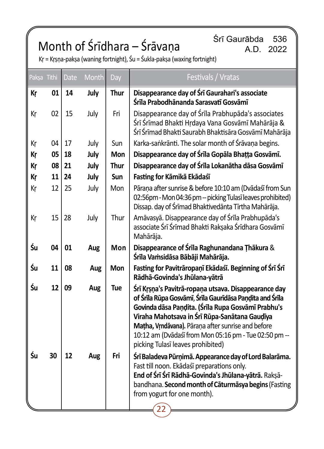# Śrī Gaurābda 536 Month of Śrīdhara – Śrāvaṇa A.D. 2022

| Paksa Tithi |    | <b>Date</b> | Month | Day         | Festivals / Vratas                                                                                                                                                                                                                                                                                                                                                          |
|-------------|----|-------------|-------|-------------|-----------------------------------------------------------------------------------------------------------------------------------------------------------------------------------------------------------------------------------------------------------------------------------------------------------------------------------------------------------------------------|
| Кr          | 01 | 14          | July  | <b>Thur</b> | Disappearance day of Śrī Gaurahari's associate<br>Śrīla Prabodhānanda Sarasvatī Gosvāmī                                                                                                                                                                                                                                                                                     |
| Кr          | 02 | 15          | July  | Fri         | Disappearance day of Śrīla Prabhupāda's associates<br>Śrī Śrīmad Bhakti Hrdaya Vana Gosvāmī Mahārāja &<br>Śrī Śrīmad Bhakti Saurabh Bhaktisāra Gosvāmī Mahārāja                                                                                                                                                                                                             |
| Кr          | 04 | 17          | July  | Sun         | Karka-sankrānti. The solar month of Śrāvaņa begins.                                                                                                                                                                                                                                                                                                                         |
| Kr          | 05 | 18          | July  | <b>Mon</b>  | Disappearance day of Śrīla Gopāla Bhațța Gosvāmī.                                                                                                                                                                                                                                                                                                                           |
| Кr          | 08 | 21          | July  | <b>Thur</b> | Disappearance day of Śrīla Lokanātha dāsa Gosvāmī                                                                                                                                                                                                                                                                                                                           |
| Кr          | 11 | 24          | July  | Sun         | Fasting for Kāmikā Ekādaśī                                                                                                                                                                                                                                                                                                                                                  |
| Kr          | 12 | 25          | July  | Mon         | Pārana after sunrise & before 10:10 am (Dvādaśī from Sun<br>02:56pm - Mon 04:36 pm -- picking Tulasī leaves prohibited)<br>Dissap. day of Śrīmad Bhaktivedānta Tīrtha Mahārāja.                                                                                                                                                                                             |
| Кr          | 15 | 28          | July  | Thur        | Amāvasyā. Disappearance day of Śrīla Prabhupāda's<br>associate Śrī Śrīmad Bhakti Rakşaka Śrīdhara Gosvāmī<br>Mahārāja.                                                                                                                                                                                                                                                      |
| Śu          | 04 | 01          | Aug   | Mon         | Disappearance of Śrīla Raghunandana Thākura &<br>Śrīla Vaṁsidāsa Bābāji Mahārāja.                                                                                                                                                                                                                                                                                           |
| Śu          | 11 | 08          | Aug   | Mon         | Fasting for Pavitrāropaņī Ekādaśī. Beginning of Śrī Śrī<br>Rādhā-Govinda's Jhūlana-yātrā                                                                                                                                                                                                                                                                                    |
| Śu          | 12 | 09          | Aug   | Tue         | Śrī Krsna's Pavitrā-ropana utsava. Disappearance day<br>of Śrīla Rūpa Gosvāmī, Śrīla Gaurīdāsa Pandita and Śrīla<br>Govinda dāsa Paņḍita. (Śrīla Rupa Gosvāmī Prabhu's<br>Viraha Mahotsava in Śrī Rūpa-Sanātana Gaudīya<br>Matha, Vrndāvana). Pārana after sunrise and before<br>10:12 am (Dvādaśī from Mon 05:16 pm - Tue 02:50 pm --<br>picking Tulasī leaves prohibited) |
| Śu          | 30 | 12          | Aug   | Fri         | Śrī Baladeva Pūrņimā. Appearance day of Lord Balarāma.<br>Fast till noon. Ekādaśī preparations only.<br>End of Śrī Śrī Rādhā-Govinda's Jhūlana-yātrā. Rakṣā-<br>bandhana. Second month of Caturmasya begins (Fasting<br>from yogurt for one month).                                                                                                                         |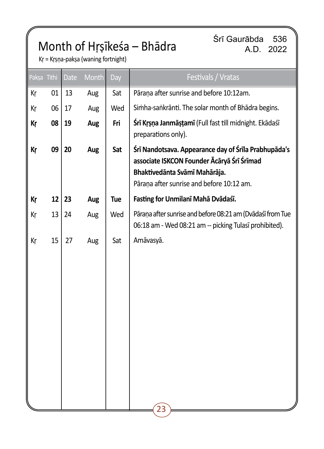# Month of Hṛṣīkeśa – Bhādra Sirī Gaurābda 536

A.D. 2022

Kṛ = Kṛṣṇa-pakṣa (waning fortnight)

|    | Date        | Month | Day | Festivals / Vratas                                                                                                                                                               |
|----|-------------|-------|-----|----------------------------------------------------------------------------------------------------------------------------------------------------------------------------------|
| 01 | 13          | Aug   | Sat | Pārana after sunrise and before 10:12am.                                                                                                                                         |
| 06 | 17          | Aug   | Wed | Simha-sankrānti. The solar month of Bhādra begins.                                                                                                                               |
| 08 | 19          | Aug   | Fri | Śrī Krsņa Janmāstamī (Full fast till midnight. Ekādaśī<br>preparations only).                                                                                                    |
| 09 | 20          | Aug   | Sat | Śrī Nandotsava. Appearance day of Śrīla Prabhupāda's<br>associate ISKCON Founder Ācāryā Śrī Śrīmad<br>Bhaktivedānta Svāmī Mahārāja.<br>Pāraņa after sunrise and before 10:12 am. |
| 12 | 23          | Aug   | Tue | Fasting for Unmilanī Mahā Dvādaśī.                                                                                                                                               |
| 13 | 24          | Aug   | Wed | Pāraņa after sunrise and before 08:21 am (Dvādaśī from Tue<br>06:18 am - Wed 08:21 am -- picking Tulasī prohibited).                                                             |
| 15 | 27          | Aug   | Sat | Amāvasyā.<br>23                                                                                                                                                                  |
|    | Pakşa Tithi |       |     |                                                                                                                                                                                  |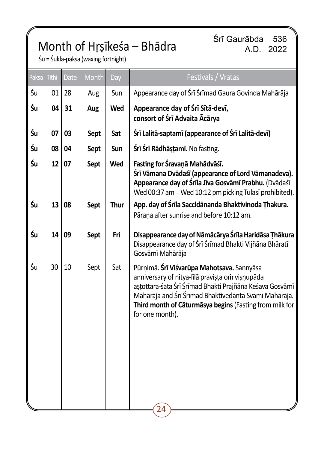## Srī Gaurābda 536<br>A.D. 2022 A.D. Zo

A.D. 2022

Śu = Śukla-pakṣa (waxing fortnight)

| Pakṣa Tithi | <b>Date</b> | Month | Day  | Festivals / Vratas                                                                                                                                                                                                                                                                               |
|-------------|-------------|-------|------|--------------------------------------------------------------------------------------------------------------------------------------------------------------------------------------------------------------------------------------------------------------------------------------------------|
| Śu<br>01    | 28          | Aug   | Sun  | Appearance day of Śrī Śrīmad Gaura Govinda Mahārāja                                                                                                                                                                                                                                              |
| Śu<br>04    | 31          | Aug   | Wed  | Appearance day of Śrī Sītā-devī,<br>consort of Śrī Advaita Ācārya                                                                                                                                                                                                                                |
| Śu<br>07    | 03          | Sept  | Sat  | Śrī Lalitā-saptamī (appearance of Śrī Lalitā-devī)                                                                                                                                                                                                                                               |
| Śu<br>08    | 04          | Sept  | Sun  | Śrī Śrī Rādhāstamī. No fasting.                                                                                                                                                                                                                                                                  |
| Śu<br>12    | 07          | Sept  | Wed  | Fasting for Śravaņā Mahādvāśī.<br>Śrī Vāmana Dvādaśī (appearance of Lord Vāmanadeva).<br>Appearance day of Śrīla Jīva Gosvāmī Prabhu. (Dvādaśī<br>Wed 00:37 am - Wed 10:12 pm picking Tulasī prohibited).                                                                                        |
| Śu<br>13    | 08          | Sept  | Thur | App. day of Śrīla Saccidānanda Bhaktivinoda Thakura.<br>Pārana after sunrise and before 10:12 am.                                                                                                                                                                                                |
| Śu<br>14    | 09          | Sept  | Fri  | Disappearance day of Nāmācārya Śrīla Haridāsa Thākura<br>Disappearance day of Śrī Śrīmad Bhakti Vijñāna Bhāratī<br>Gosvāmī Mahārāja                                                                                                                                                              |
| Śu<br>30    | 10          | Sept  | Sat  | Pūrņimā. Srī Viśvarūpa Mahotsava. Sannyāsa<br>anniversary of nitya-līlā pravișța om vișņupāda<br>aștottara-śata Śrī Śrīmad Bhakti Prajñāna Keśava Gosvāmī<br>Mahārāja and Śrī Śrīmad Bhaktivedānta Svāmī Mahārāja.<br>Third month of Caturmasya begins (Fasting from milk for<br>for one month). |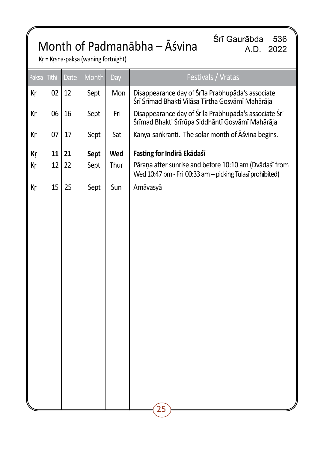## Month of Padmanābha – Āśvina

Śrī Gaurābda 536 A.D. 2022

Kṛ = Kṛṣṇa-pakṣa (waning fortnight)

| Paksa Tithi | <b>Date</b> | Month | Day  | Festivals / Vratas                                                                                                 |
|-------------|-------------|-------|------|--------------------------------------------------------------------------------------------------------------------|
| 02          | 12          | Sept  | Mon  | Disappearance day of Śrīla Prabhupāda's associate<br>Śrī Śrīmad Bhakti Vilāsa Tīrtha Gosvāmī Mahārāja              |
| 06          | 16          | Sept  | Fri  | Disappearance day of Śrīla Prabhupāda's associate Śrī<br>Śrīmad Bhakti Śrīrūpa Siddhāntī Gosvāmī Mahārāja          |
| 07          | 17          | Sept  | Sat  | Kanyā-saṅkrānti. The solar month of Āśvina begins.                                                                 |
| 11          | 21          | Sept  | Wed  | Fasting for Indirā Ekādaśī                                                                                         |
| 12          | 22          | Sept  | Thur | Pāraņa after sunrise and before 10:10 am (Dvādaśī from<br>Wed 10:47 pm - Fri 00:33 am - picking Tulasī prohibited) |
| 15          | 25          | Sept  | Sun  | Amāvasyā                                                                                                           |
|             |             |       |      |                                                                                                                    |
|             |             |       |      |                                                                                                                    |
|             |             |       |      |                                                                                                                    |
|             |             |       |      |                                                                                                                    |
|             |             |       |      |                                                                                                                    |
|             |             |       |      |                                                                                                                    |
|             |             |       |      |                                                                                                                    |
|             |             |       |      |                                                                                                                    |
|             |             |       |      |                                                                                                                    |
|             |             |       |      |                                                                                                                    |
|             |             |       |      | $\mathbf{\hat{25}}$                                                                                                |
|             |             |       |      |                                                                                                                    |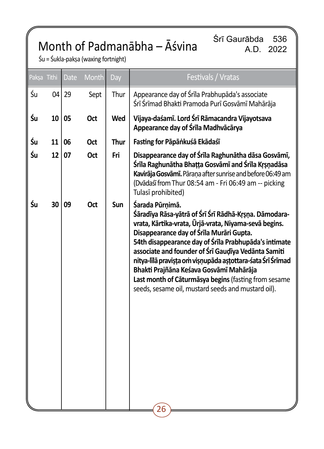## Month of Padmanābha – Āśvina

Śrī Gaurābda 536 A.D. 2022

Śu = Śukla-pakṣa (waxing fortnight)

|    | Pakṣa Tithi | <b>Date</b> | Month      | Day  | Festivals / Vratas                                                                                                                                                                                                                                                                                                                                                                                                                                                                                                         |
|----|-------------|-------------|------------|------|----------------------------------------------------------------------------------------------------------------------------------------------------------------------------------------------------------------------------------------------------------------------------------------------------------------------------------------------------------------------------------------------------------------------------------------------------------------------------------------------------------------------------|
| Śu | 04          | 29          | Sept       | Thur | Appearance day of Śrīla Prabhupāda's associate<br>Śrī Śrīmad Bhakti Pramoda Purī Gosvāmī Mahārāja                                                                                                                                                                                                                                                                                                                                                                                                                          |
| Śu | 10          | 05          | Oct        | Wed  | Vijaya-daśamī. Lord Śrī Rāmacandra Vijayotsava<br>Appearance day of Śrīla Madhvācārya                                                                                                                                                                                                                                                                                                                                                                                                                                      |
| Śu | 11          | 06          | <b>Oct</b> | Thur | Fasting for Pāpāṅkuśā Ekādaśī                                                                                                                                                                                                                                                                                                                                                                                                                                                                                              |
| Śu | 12          | 07          | Oct        | Fri  | Disappearance day of Śrīla Raghunātha dāsa Gosvāmī,<br>Śrīla Raghunātha Bhatta Gosvāmī and Śrīla Krsnadāsa<br>Kavirāja Gosvāmī. Pāraņa after sunrise and before 06:49 am<br>(Dvādaśī from Thur 08:54 am - Fri 06:49 am -- picking<br>Tulasī prohibited)                                                                                                                                                                                                                                                                    |
| Śu | 30          | 09          | Oct        | Sun  | Śarada Pūrnimā.<br>Śāradīya Rāsa-yātrā of Śrī Śrī Rādhā-Krsna. Dāmodara-<br>vrata, Kārtika-vrata, Ūrjā-vrata, Niyama-sevā begins.<br>Disappearance day of Śrīla Murāri Gupta.<br>54th disappearance day of Śrīla Prabhupāda's intimate<br>associate and founder of Śrī Gaudīya Vedānta Samiti<br>nitya-līlā pravista om visņupāda astottara-śata Śrī Śrīmad<br>Bhakti Prajñāna Keśava Gosvāmī Mahārāja<br>Last month of Cāturmāsya begins (fasting from sesame<br>seeds, sesame oil, mustard seeds and mustard oil).<br>26 |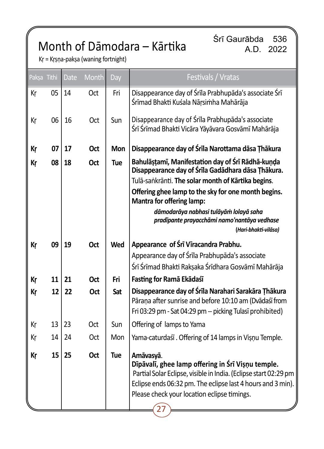## Month of Dāmodara – Kārtika

Śrī Gaurābda 536 A.D. 2022

Kṛ = Kṛṣṇa-pakṣa (waning fortnight)

| Paksa Tithi |    | <b>Date</b> | Month | Day | Festivals / Vratas                                                                                                                                                                                                                                |
|-------------|----|-------------|-------|-----|---------------------------------------------------------------------------------------------------------------------------------------------------------------------------------------------------------------------------------------------------|
| Кr          | 05 | 14          | Oct   | Fri | Disappearance day of Śrīla Prabhupāda's associate Śrī<br>Śrīmad Bhakti Kuśala Nāṛsiṁha Mahārāja                                                                                                                                                   |
| Кr          | 06 | 16          | Oct   | Sun | Disappearance day of Śrīla Prabhupāda's associate<br>Śrī Śrīmad Bhakti Vicāra Yāyāvara Gosvāmī Mahārāja                                                                                                                                           |
| Кr          | 07 | 17          | Oct   | Mon | Disappearance day of Śrīla Narottama dāsa Thākura                                                                                                                                                                                                 |
| Кr          | 08 | 18          | Oct   | Tue | Bahulāstamī, Manifestation day of Śrī Rādhā-kunda<br>Disappearance day of Śrīla Gadādhara dāsa Thākura.<br>Tulā-sankrānti. The solar month of Kārtika begins.<br>Offering ghee lamp to the sky for one month begins.<br>Mantra for offering lamp: |
|             |    |             |       |     | dāmodarāya nabhasi tulāyām lolayā saha<br>pradīpante prayacchāmi namo'nantāya vedhase<br>(Hari-bhakti-vilāsa)                                                                                                                                     |
| Кr          | 09 | 19          | Oct   | Wed | Appearance of Śrī Vīracandra Prabhu.                                                                                                                                                                                                              |
|             |    |             |       |     | Appearance day of Śrīla Prabhupāda's associate                                                                                                                                                                                                    |
|             |    |             |       |     | Śrī Śrīmad Bhakti Rakṣaka Śrīdhara Gosvāmī Mahārāja                                                                                                                                                                                               |
| Кr          | 11 | 21          | Oct   | Fri | Fasting for Ramā Ekādaśī                                                                                                                                                                                                                          |
| Кr          | 12 | 22          | Oct   | Sat | Disappearance day of Śrīla Narahari Sarakāra Thākura<br>Pāraņa after sunrise and before 10:10 am (Dvādaśī from<br>Fri 03:29 pm - Sat 04:29 pm -- picking Tulasī prohibited)                                                                       |
| Кr          | 13 | 23          | Oct   | Sun | Offering of lamps to Yama                                                                                                                                                                                                                         |
| Кr          | 14 | 24          | Oct   | Mon | Yama-caturdaśī. Offering of 14 lamps in Visnu Temple.                                                                                                                                                                                             |
| Кr          | 15 | 25          | Oct   | Tue | Amāvasyā.<br>Dīpāvalī, ghee lamp offering in Śrī Vișņu temple.<br>Partial Solar Eclipse, visible in India. (Eclipse start 02:29 pm<br>Eclipse ends 06:32 pm. The eclipse last 4 hours and 3 min).<br>Please check your location eclipse timings.  |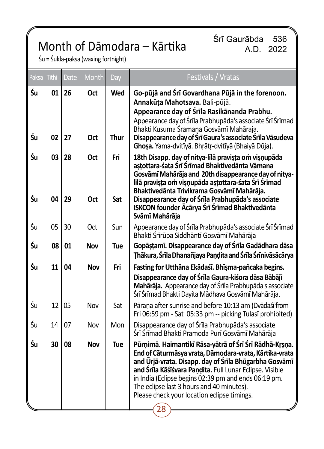## Month of Dāmodara – Kārtika

Śrī Gaurābda 536 A.D. 2022

Śu = Śukla-pakṣa (waxing fortnight)

| Paksa Tithi |          | <b>Date</b> | Month             | Day         | Festivals / Vratas                                                                                                                                                                                                                                                                                                                                                                                                                                          |
|-------------|----------|-------------|-------------------|-------------|-------------------------------------------------------------------------------------------------------------------------------------------------------------------------------------------------------------------------------------------------------------------------------------------------------------------------------------------------------------------------------------------------------------------------------------------------------------|
| Śu<br>Śu    | 01<br>02 | 26<br>27    | Oct<br>Oct        | Wed<br>Thur | Go-pūjā and Śrī Govardhana Pūjā in the forenoon.<br>Annakūța Mahotsava. Bali-pūjā.<br>Appearance day of Śrīla Rasikānanda Prabhu.<br>Appearance day of Śrīla Prabhupāda's associate Śrī Śrīmad<br>Bhakti Kusuma Śramana Gosvāmī Mahāraja.<br>Disappearance day of Śrī Gaura's associate Śrīla Vāsudeva                                                                                                                                                      |
| Śu<br>Śu    | 03<br>04 | 28<br>29    | <b>Oct</b><br>Oct | Fri<br>Sat  | Ghoșa. Yama-dvitīyā. Bhrātr-dvitīyā (Bhaiyā Dūja).<br>18th Disapp. day of nitya-līlā pravista om visnupāda<br>aștottara-śata Śrī Śrīmad Bhaktivedānta Vāmana<br>Gosvāmī Mahārāja and 20th disappearance day of nitya-<br>līlā pravista om visnupāda astottara-śata Śrī Śrīmad<br>Bhaktivedānta Trivikrama Gosvāmī Mahārāja.<br>Disappearance day of Śrīla Prabhupāda's associate<br><b>ISKCON founder Acarya Śrī Śrīmad Bhaktivedānta</b><br>Svāmī Mahārāja |
| Śu          | 05       | 30          | Oct               | Sun         | Appearance day of Śrīla Prabhupāda's associate Śrī Śrīmad<br>Bhakti Śrīrūpa Siddhāntī Gosvāmī Mahārāja                                                                                                                                                                                                                                                                                                                                                      |
| Śu          | 08       | 01          | Nov               | Tue         | Gopāṣṭamī. Disappearance day of Śrīla Gadādhara dāsa<br>Thākura, Śrīla Dhanañjaya Paṇḍita and Śrīla Śrīnivāsācārya                                                                                                                                                                                                                                                                                                                                          |
| Śu          | 11       | 04          | Nov               | Fri         | Fasting for Utthāna Ekādaśī. Bhīṣma-pañcaka begins.<br>Disappearance day of Śrīla Gaura-kiśora dāsa Bābājī<br>Mahārāja. Appearance day of Śrīla Prabhupāda's associate<br>Śrī Śrīmad Bhakti Dayita Mādhava Gosvāmī Mahārāja.                                                                                                                                                                                                                                |
| Śu          | 12       | 05          | Nov               | Sat         | Pāraņa after sunrise and before 10:13 am (Dvādaśī from<br>Fri 06:59 pm - Sat 05:33 pm -- picking Tulasī prohibited)                                                                                                                                                                                                                                                                                                                                         |
| Śu          | 14       | 07          | Nov               | Mon         | Disappearance day of Śrīla Prabhupāda's associate<br>Śrī Śrīmad Bhakti Pramoda Purī Gosvāmī Mahārāja                                                                                                                                                                                                                                                                                                                                                        |
| Śu          | 30       | 08          | Nov               | Tue         | Pūrņimā. Haimantikī Rāsa-yātrā of Śrī Śrī Rādhā-Kṛṣṇa.<br>End of Cāturmāsya vrata, Dāmodara-vrata, Kārtika-vrata<br>and Ūriā-vrata. Disapp. day of Śrīla Bhūgarbha Gosvāmī<br>and Śrīla Kāśīśvara Pandita. Full Lunar Eclipse. Visible<br>in India (Eclipse begins 02:39 pm and ends 06:19 pm.<br>The eclipse last 3 hours and 40 minutes).<br>Please check your location eclipse timings.                                                                  |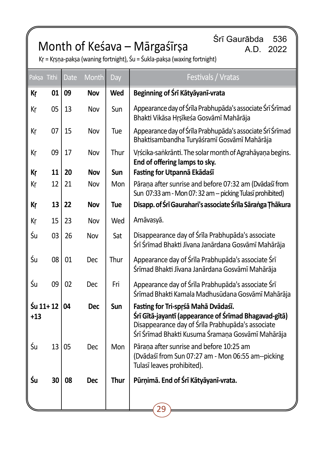## Month of Keśava – Mārgaśīrṣa

Śrī Gaurābda 536 A.D. 2022

| Paksa Tithi       |    | <b>Date</b> | Month      | Day  | Festivals / Vratas                                                                                                                                                                                     |
|-------------------|----|-------------|------------|------|--------------------------------------------------------------------------------------------------------------------------------------------------------------------------------------------------------|
| Кŗ                | 01 | 09          | Nov        | Wed  | Beginning of Śrī Kātyāyanī-vrata                                                                                                                                                                       |
| Кr                | 05 | 13          | Nov        | Sun  | Appearance day of Śrīla Prabhupāda's associate Śrī Śrīmad<br>Bhakti Vikāsa Hrsīkeśa Gosvāmī Mahārāja                                                                                                   |
| Кr                | 07 | 15          | Nov        | Tue  | Appearance day of Śrīla Prabhupāda's associate Śrī Śrīmad<br>Bhaktisambandha Turyāśramī Gosvāmī Mahārāja                                                                                               |
| Кr                | 09 | 17          | Nov        | Thur | Vrścika-saṅkrānti. The solar month of Agrahāyaṇa begins.<br>End of offering lamps to sky.                                                                                                              |
| Кr                | 11 | 20          | <b>Nov</b> | Sun  | Fasting for Utpannā Ekādaśī                                                                                                                                                                            |
| Кr                | 12 | 21          | Nov        | Mon  | Pārana after sunrise and before 07:32 am (Dvādaśī from<br>Sun 07:33 am - Mon 07:32 am -- picking Tulasī prohibited)                                                                                    |
| Кr                | 13 | 22          | Nov        | Tue  | Disapp. of Śrī Gaurahari's associate Śrīla Sāranga Ţhākura                                                                                                                                             |
| Кr                | 15 | 23          | Nov        | Wed  | Amāvasyā.                                                                                                                                                                                              |
| Śu                | 03 | 26          | Nov        | Sat  | Disappearance day of Śrīla Prabhupāda's associate<br>Śrī Śrīmad Bhakti Jīvana Janārdana Gosvāmī Mahārāja                                                                                               |
| Śu                | 08 | 01          | Dec        | Thur | Appearance day of Śrīla Prabhupāda's associate Śrī<br>Śrīmad Bhakti Jīvana Janārdana Gosvāmī Mahārāja                                                                                                  |
| Śu                | 09 | 02          | Dec        | Fri  | Appearance day of Śrīla Prabhupāda's associate Śrī<br>Śrīmad Bhakti Kamala Madhusūdana Gosvāmī Mahārāja                                                                                                |
| Śu 11+12<br>$+13$ |    | 04          | <b>Dec</b> | Sun  | Fasting for Tri-sprśā Mahā Dvādaśī.<br>Śrī Gītā-jayantī (appearance of Śrīmad Bhagavad-gītā)<br>Disappearance day of Śrīla Prabhupāda's associate<br>Śrī Śrīmad Bhakti Kusuma Śramaņa Gosvāmī Mahārāja |
| Śu                | 13 | 05          | <b>Dec</b> | Mon  | Pārana after sunrise and before 10:25 am<br>(Dvādaśī from Sun 07:27 am - Mon 06:55 am--picking<br>Tulasī leaves prohibited).                                                                           |
| Śu                | 30 | 08          | Dec        | Thur | Pūrņimā. End of Śrī Kātyāyanī-vrata.                                                                                                                                                                   |
|                   |    |             |            |      | 29                                                                                                                                                                                                     |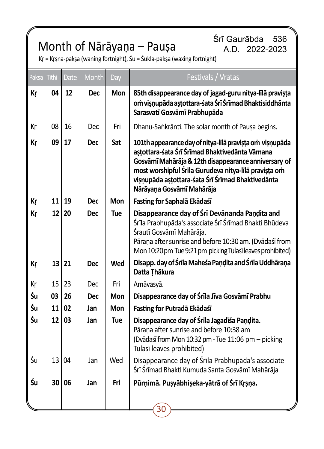## Month of Nārāyaṇa – Pauṣa

Śrī Gaurābda 536 A.D. 2022-2023

| Pakşa Tithi |    | Date | Month      | Day        | Festivals / Vratas                                                                                                                                                                                                                                                                                            |
|-------------|----|------|------------|------------|---------------------------------------------------------------------------------------------------------------------------------------------------------------------------------------------------------------------------------------------------------------------------------------------------------------|
| Кr          | 04 | 12   | <b>Dec</b> | <b>Mon</b> | 85th disappearance day of jagad-guru nitya-līlā pravișța<br>om visnupāda astottara-śata Śrī Śrīmad Bhaktisiddhānta<br>Sarasvatī Gosvāmī Prabhupāda                                                                                                                                                            |
| Кr          | 08 | 16   | <b>Dec</b> | Fri        | Dhanu-Sankrānti. The solar month of Pausa begins.                                                                                                                                                                                                                                                             |
| Кr          | 09 | 17   | <b>Dec</b> | Sat        | 101th appearance day of nitya-līlā pravista om visnupāda<br>aștottara-śata Śrī Śrīmad Bhaktivedānta Vāmana<br>Gosvāmī Mahārāja & 12th disappearance anniversary of<br>most worshipful Śrīla Gurudeva nitya-līlā pravista om<br>visnupāda astottara-śata Śrī Śrīmad Bhaktivedānta<br>Nārāyaņa Gosvāmī Mahārāja |
| Кr          | 11 | 19   | <b>Dec</b> | Mon        | Fasting for Saphalā Ekādaśī                                                                                                                                                                                                                                                                                   |
| Кr          | 12 | 20   | <b>Dec</b> | Tue        | Disappearance day of Śrī Devānanda Paṇḍita and<br>Śrīla Prabhupāda's associate Śrī Śrīmad Bhakti Bhūdeva<br>Śrautī Gosvāmī Mahārāja.<br>Pāraņa after sunrise and before 10:30 am. (Dvādaśī from<br>Mon 10:20 pm Tue 9:21 pm picking Tulasī leaves prohibited)                                                 |
| Кr          | 13 | 21   | <b>Dec</b> | Wed        | Disapp. day of Śrīla Maheśa Paṇḍita and Śrīla Uddhāraṇa<br>Datta Thākura                                                                                                                                                                                                                                      |
| Кr          | 15 | 23   | <b>Dec</b> | Fri        | Amāvasyā.                                                                                                                                                                                                                                                                                                     |
| Śu          | 03 | 26   | <b>Dec</b> | <b>Mon</b> | Disappearance day of Śrīla Jīva Gosvāmī Prabhu                                                                                                                                                                                                                                                                |
| Śu          | 11 | 02   | Jan        | Mon        | Fasting for Putradā Ekādaśī                                                                                                                                                                                                                                                                                   |
| Śu          | 12 | 03   | Jan        | Tue        | Disappearance day of Śrīla Jagadīśa Paņdita.<br>Pāraņa after sunrise and before 10:38 am<br>(Dvādaśī from Mon 10:32 pm - Tue 11:06 pm - picking<br>Tulasī leaves prohibited)                                                                                                                                  |
| Śu          | 13 | 04   | Jan        | Wed        | Disappearance day of Śrīla Prabhupāda's associate<br>Śrī Śrīmad Bhakti Kumuda Santa Gosvāmī Mahārāja                                                                                                                                                                                                          |
| Śu          | 30 | 06   | Jan        | Fri        | Pūrņimā. Pusyābhiseka-yātrā of Śrī Krsņa.                                                                                                                                                                                                                                                                     |
|             |    |      |            |            | 30                                                                                                                                                                                                                                                                                                            |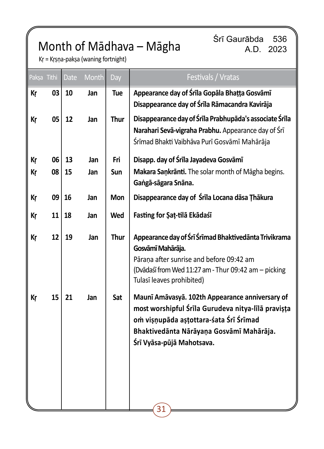## Month of Mādhava – Māgha

Śrī Gaurābda 536 A.D. 2023

Kṛ = Kṛṣṇa-pakṣa (waning fortnight)

|    | Pakṣa Tithi | <b>Date</b> | <b>Month</b> | Day         | Festivals / Vratas                                                                                                                                                                                                       |
|----|-------------|-------------|--------------|-------------|--------------------------------------------------------------------------------------------------------------------------------------------------------------------------------------------------------------------------|
| Кr | 03          | 10          | Jan          | Tue         | Appearance day of Śrīla Gopāla Bhațța Gosvāmī<br>Disappearance day of Śrīla Rāmacandra Kavirāja                                                                                                                          |
| Кŗ | 05          | 12          | Jan          | Thur        | Disappearance day of Śrīla Prabhupāda's associate Śrīla<br>Narahari Sevā-vigraha Prabhu. Appearance day of Śrī<br>Śrīmad Bhakti Vaibhāva Purī Gosvāmī Mahārāja                                                           |
| Кr | 06          | 13          | Jan          | Fri         | Disapp. day of Śrīla Jayadeva Gosvāmī                                                                                                                                                                                    |
| Кr | 08          | 15          | Jan          | Sun         | Makara Sankranti. The solar month of Magha begins.<br>Gangā-sāgara Snāna.                                                                                                                                                |
| Кr | 09          | 16          | Jan          | <b>Mon</b>  | Disappearance day of Śrīla Locana dāsa Thākura                                                                                                                                                                           |
| Кŗ | 11          | 18          | Jan          | Wed         | Fasting for Şat-tilā Ekādaśī                                                                                                                                                                                             |
| Кŗ | 12          | 19          | Jan          | <b>Thur</b> | Appearance day of Śrī Śrīmad Bhaktivedānta Trivikrama<br>Gosvāmī Mahārāja.<br>Pāraņa after sunrise and before 09:42 am<br>(Dvādaśī from Wed 11:27 am - Thur 09:42 am - picking<br>Tulasī leaves prohibited)              |
| Кŗ | 15          | 21          | Jan          | Sat         | Maunī Amāvasyā. 102th Appearance anniversary of<br>most worshipful Śrīla Gurudeva nitya-līlā pravișța<br>om visņupāda astottara-sata Srī Srīmad<br>Bhaktivedānta Nārāyaņa Gosvāmī Mahārāja.<br>Śrī Vyāsa-pūjā Mahotsava. |
|    |             |             |              |             | 31                                                                                                                                                                                                                       |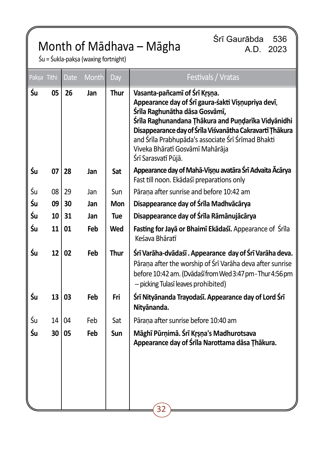## Month of Mādhava – Māgha

Śrī Gaurābda 536 A.D. 2023

Śu = Śukla-pakṣa (waxing fortnight)

| Paksa Tithi |    | <b>Date</b> | Month | Day  | Festivals / Vratas                                                                                                                                                                                                                                                                                                                                       |
|-------------|----|-------------|-------|------|----------------------------------------------------------------------------------------------------------------------------------------------------------------------------------------------------------------------------------------------------------------------------------------------------------------------------------------------------------|
| Śu          | 05 | 26          | Jan   | Thur | Vasanta-pañcamī of Śrī Krsņa.<br>Appearance day of Śrī gaura-śakti Vișņupriya devī,<br>Śrīla Raghunātha dāsa Gosvāmī,<br>Śrīla Raghunandana Ṭhākura and Puṇḍarīka Vidyānidhi<br>Disappearance day of Śrīla Viśvanātha Cakravartī Thākura<br>and Śrīla Prabhupāda's associate Śrī Śrīmad Bhakti<br>Viveka Bhāratī Gosvāmī Mahārāja<br>Śrī Sarasvatī Pūjā. |
| Śu          | 07 | 28          | Jan   | Sat  | Appearance day of Mahā-Visnu avatāra Śrī Advaita Ācārya<br>Fast till noon. Ekādaśī preparations only                                                                                                                                                                                                                                                     |
| Śu          | 08 | 29          | Jan   | Sun  | Pārana after sunrise and before 10:42 am                                                                                                                                                                                                                                                                                                                 |
| Śu          | 09 | 30          | Jan   | Mon  | Disappearance day of Śrīla Madhvācārya                                                                                                                                                                                                                                                                                                                   |
| Śu          | 10 | 31          | Jan   | Tue  | Disappearance day of Śrīla Rāmānujācārya                                                                                                                                                                                                                                                                                                                 |
| Śu          | 11 | 01          | Feb   | Wed  | Fasting for Jaya or Bhaimi Ekadaśi. Appearance of Śrila<br>Keśava Bhāratī                                                                                                                                                                                                                                                                                |
| Śu          | 12 | 02          | Feb   | Thur | Śrī Varāha-dvādaśī . Appearance day of Śrī Varāha deva.<br>Pāraņa after the worship of Śrī Varāha deva after sunrise<br>before 10:42 am. (Dvādaśī from Wed 3:47 pm - Thur 4:56 pm<br>-- picking Tulasī leaves prohibited)                                                                                                                                |
| Śu          | 13 | 03          | Feb   | Fri  | Śrī Nityānanda Trayodaśī. Appearance day of Lord Śrī<br>Nityānanda.                                                                                                                                                                                                                                                                                      |
| Śu          | 14 | 04          | Feb   | Sat  | Pārana after sunrise before 10:40 am                                                                                                                                                                                                                                                                                                                     |
| Śu          | 30 | 05          | Feb   | Sun  | Māghī Pūrņimā. Śrī Krṣṇa's Madhurotsava<br>Appearance day of Śrīla Narottama dāsa Thākura.                                                                                                                                                                                                                                                               |
|             |    |             |       |      | 32                                                                                                                                                                                                                                                                                                                                                       |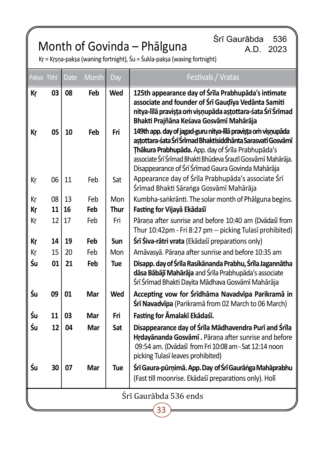## Month of Govinda – Phālguna

Śrī Gaurābda 536 A.D. 2023

Kṛ = Kṛṣṇa-pakṣa (waning fortnight), Śu = Śukla-pakṣa (waxing fortnight)

| Paksa Tithi           |    | <b>Date</b> | <b>Month</b> | Day        | Festivals / Vratas                                                                                                                                                                                                                                                                                       |
|-----------------------|----|-------------|--------------|------------|----------------------------------------------------------------------------------------------------------------------------------------------------------------------------------------------------------------------------------------------------------------------------------------------------------|
| Кr                    | 03 | 08          | Feb          | Wed        | 125th appearance day of Śrīla Prabhupāda's intimate<br>associate and founder of Srī Gaudīya Vedānta Samiti<br>nitya-līlā pravista om visņupāda astottara-śata Śrī Śrīmad<br>Bhakti Prajñāna Keśava Gosvāmī Mahārāja                                                                                      |
| Кr                    | 05 | 10          | Feb          | Fri        | 149th app. day of jagad-guru nitya-līlā pravista om visnupāda<br>astottara-śata Śrī Śrīmad Bhaktisiddhānta Sarasvatī Gosvāmī<br>Thākura Prabhupāda. App. day of Śrīla Prabhupāda's<br>associate Śrī Śrīmad Bhakti Bhūdeva Śrautī Gosvāmī Mahārāja.<br>Disappearance of Śrī Śrīmad Gaura Govinda Mahārāja |
| Кr                    | 06 | 11          | Feb          | Sat        | Appearance day of Śrīla Prabhupāda's associate Śrī<br>Śrīmad Bhakti Sāraṅga Gosvāmī Mahārāja                                                                                                                                                                                                             |
| Кr                    | 08 | 13          | Feb          | Mon        | Kumbha-sankrānti. The solar month of Phālguna begins.                                                                                                                                                                                                                                                    |
| Кr                    | 11 | 16          | Feb          | Thur       | Fasting for Vijayā Ekādaśī                                                                                                                                                                                                                                                                               |
| Kr                    | 12 | 17          | Feb          | Fri        | Pārana after sunrise and before 10:40 am (Dvādaśī from<br>Thur 10:42pm - Fri 8:27 pm -- picking Tulasī prohibited)                                                                                                                                                                                       |
| Кr                    | 14 | 19          | Feb          | Sun        | Śrī Śiva-rātri vrata (Ekādaśī preparations only)                                                                                                                                                                                                                                                         |
| Kr                    | 15 | 20          | Feb          | Mon        | Amāvasyā. Pāraņa after sunrise and before 10:35 am                                                                                                                                                                                                                                                       |
| Śu                    | 01 | 21          | Feb          | <b>Tue</b> | Disapp. day of Śrīla Rasikānanda Prabhu, Śrīla Jagannātha<br>dāsa Bābājī Mahārāja and Śrīla Prabhupāda's associate<br>Śrī Śrīmad Bhakti Dayita Mādhava Gosvāmī Mahārāja                                                                                                                                  |
| Śu                    | 09 | 01          | Mar          | Wed        | Accepting vow for Śrīdhāma Navadvīpa Parikramā in<br>Śrī Navadvīpa (Parikramā from 02 March to 06 March)                                                                                                                                                                                                 |
| Śu                    | 11 | 03          | Mar          | Fri        | Fasting for Āmalakī Ekādaśī.                                                                                                                                                                                                                                                                             |
| Śu                    | 12 | 04          | Mar          | Sat        | Disappearance day of Śrīla Mādhavendra Purī and Śrīla<br>Hrdayananda Gosvami . Parana after sunrise and before<br>09:54 am. (Dvādaśī from Fri 10:08 am - Sat 12:14 noon<br>picking Tulasī leaves prohibited)                                                                                             |
| Śu                    | 30 | 07          | Mar          | <b>Tue</b> | Śrī Gaura-pūrņimā. App. Day of Śrī Gaurāṅga Mahāprabhu<br>(Fast till moonrise. Ekādaśī preparations only). Holī                                                                                                                                                                                          |
| Śrī Gaurābda 536 ends |    |             |              |            |                                                                                                                                                                                                                                                                                                          |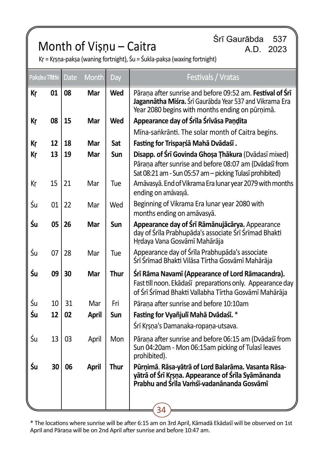# Srī Gaurābda 537<br>A.D. 2023 A.D. 2023

Kṛ = Kṛṣṇa-pakṣa (waning fortnight), Śu = Śukla-pakṣa (waxing fortnight)

|    | Paksha Tithi | <b>Date</b> | <b>Month</b> | Day  | Festivals / Vratas                                                                                                                                                         |
|----|--------------|-------------|--------------|------|----------------------------------------------------------------------------------------------------------------------------------------------------------------------------|
| Кr | 01           | 08          | Mar          | Wed  | Pārana after sunrise and before 09:52 am. Festival of Srī<br>Jagannātha Miśra. Śrī Gaurābda Year 537 and Vikrama Era<br>Year 2080 begins with months ending on pūrņimā.    |
| Кr | 08           | 15          | Mar          | Wed  | Appearance day of Śrīla Śrīvāsa Pandita                                                                                                                                    |
|    |              |             |              |      | Mīna-sankrānti. The solar month of Caitra begins.                                                                                                                          |
| Кr | 12           | 18          | Mar          | Sat  | Fasting for Trisparśā Mahā Dvādaśī.                                                                                                                                        |
| Кr | 13           | 19          | Mar          | Sun  | Disapp. of Śrī Govinda Ghoșa Țhākura (Dvādasī mixed)<br>Pārana after sunrise and before 08:07 am (Dvādaśī from<br>Sat 08:21 am - Sun 05:57 am - picking Tulasī prohibited) |
| Кŗ | 15           | 21          | Mar          | Tue  | Amāvasyā. End of Vikrama Era lunar year 2079 with months<br>ending on amāvasyā.                                                                                            |
| Śu | 01           | 22          | Mar          | Wed  | Beginning of Vikrama Era lunar year 2080 with<br>months ending on amāvasyā.                                                                                                |
| Śu | 05           | 26          | Mar          | Sun  | Appearance day of Śrī Rāmānujācārya. Appearance<br>day of Śrīla Prabhupāda's associate Śrī Śrīmad Bhakti<br>Hrdaya Vana Gosvāmī Mahārāja                                   |
| Śu | 07           | 28          | Mar          | Tue  | Appearance day of Śrīla Prabhupāda's associate<br>Śrī Śrīmad Bhakti Vilāsa Tīrtha Gosvāmī Mahārāja                                                                         |
| Śи | 09           | 30          | Mar          | Thur | Śrī Rāma Navamī (Appearance of Lord Rāmacandra).<br>Fast till noon. Ekādaśī preparations only. Appearance day<br>of Śrī Śrīmad Bhakti Vallabha Tīrtha Gosvāmī Mahārāja     |
| Śu | 10           | 31          | Mar          | Fri  | Pārana after sunrise and before 10:10am                                                                                                                                    |
| Śu | 12           | 02          | <b>April</b> | Sun  | Fasting for Vyañjulī Mahā Dvādaśī. *                                                                                                                                       |
|    |              |             |              |      | Śrī Krsņa's Damanaka-ropaņa-utsava.                                                                                                                                        |
| Śu | 13           | 03          | April        | Mon  | Pārana after sunrise and before 06:15 am (Dvādaśī from<br>Sun 04:20am - Mon 06:15am picking of Tulasī leaves<br>prohibited).                                               |
| Śu | 30           | 06          | <b>April</b> | Thur | Pūrņimā. Rāsa-yātrā of Lord Balarāma. Vasanta Rāsa-<br>yātrā of Śrī Krsna. Appearance of Śrīla Syāmānanda<br>Prabhu and Śrīla Vamśī-vadanānanda Gosvāmī                    |
|    |              |             |              |      | 34                                                                                                                                                                         |

\* The locations where sunrise will be after 6:15 am on 3rd April, Kāmadā Ekādaśī will be observed on 1st April and Pāraṇa will be on 2nd April after sunrise and before 10:47 am.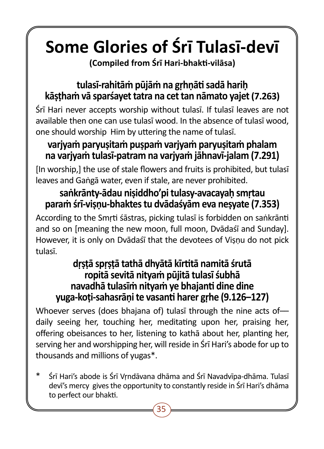# **Some Glories of Śrī Tulasī-devī**

**(Compiled from Śrī Hari-bhakti-vilāsa)**

## **tulasī-rahitāṁ pūjāṁ na gṛhṇāti sadā hariḥ kāṣṭhaṁ vā sparśayet tatra na cet tan nāmato yajet (7.263)**

Śrī Hari never accepts worship without tulasī. If tulasī leaves are not available then one can use tulasī wood. In the absence of tulasī wood, one should worship Him by uttering the name of tulasī.

## **varjyaṁ paryuṣitaṁ puṣpaṁ varjyaṁ paryuṣitaṁ phalam na varjyaṁ tulasī-patram na varjyaṁ jāhnavī-jalam (7.291)**

[In worship,] the use of stale flowers and fruits is prohibited, but tulasī leaves and Gaṅgā water, even if stale, are never prohibited.

## **saṅkrānty-ādau niṣiddho'pi tulasy-avacayaḥ smṛtau paraṁ śrī-viṣṇu-bhaktes tu dvādaśyām eva neṣyate (7.353)**

According to the Smṛti śāstras, picking tulasī is forbidden on saṅkrānti and so on [meaning the new moon, full moon, Dvādaśī and Sunday]. However, it is only on Dvādaśī that the devotees of Visnu do not pick tulasī.

## **dṛṣṭā spṛṣṭā tathā dhyātā kīrtitā namitā śrutā ropitā sevitā nityaṁ pūjitā tulasī śubhā navadhā tulasīṁ nityaṁ ye bhajanti dine dine yuga-koṭi-sahasrāṇi te vasanti harer gṛhe (9.126–127)**

Whoever serves (does bhajana of) tulasī through the nine acts ofdaily seeing her, touching her, meditating upon her, praising her, offering obeisances to her, listening to kathā about her, planting her, serving her and worshipping her, will reside in Śrī Hari's abode for up to thousands and millions of yugas\*.

Śrī Hari's abode is Śrī Vrndāvana dhāma and Śrī Navadvīpa-dhāma. Tulasī devī's mercy gives the opportunity to constantly reside in Śrī Hari's dhāma to perfect our bhakti.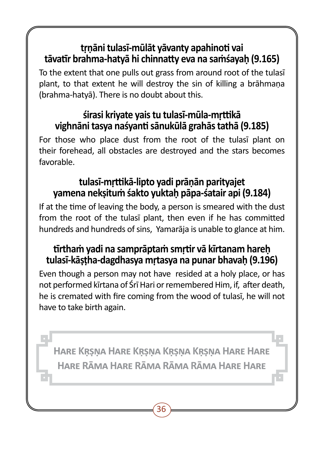## **tṛṇāni tulasī-mūlāt yāvanty apahinoti vai tāvatīr brahma-hatyā hi chinnatty eva na saṁśayaḥ (9.165)**

To the extent that one pulls out grass from around root of the tulasī plant, to that extent he will destroy the sin of killing a brāhmaṇa (brahma-hatyā). There is no doubt about this.

## **śirasi kriyate yais tu tulasī-mūla-mṛttikā vighnāni tasya naśyanti sānukūlā grahās tathā (9.185)**

For those who place dust from the root of the tulasī plant on their forehead, all obstacles are destroyed and the stars becomes favorable.

## **tulasī-mṛttikā-lipto yadi prāṇān parityajet yamena nekṣituṁ śakto yuktaḥ pāpa-śatair api (9.184)**

If at the time of leaving the body, a person is smeared with the dust from the root of the tulasī plant, then even if he has committed hundreds and hundreds of sins, Yamarāja is unable to glance at him.

## **tīrthaṁ yadi na samprāptaṁ smṛtir vā kīrtanam hareḥ tulasī-kāṣṭha-dagdhasya mṛtasya na punar bhavaḥ (9.196)**

Even though a person may not have resided at a holy place, or has not performed kīrtana of Śrī Hari or remembered Him, if, after death, he is cremated with fire coming from the wood of tulasī, he will not have to take birth again.

**Hare Kṛṣṇa Hare Kṛṣṇa Kṛṣṇa Kṛṣṇa Hare Hare Hare Rāma Hare Rāma Rāma Rāma Hare Hare**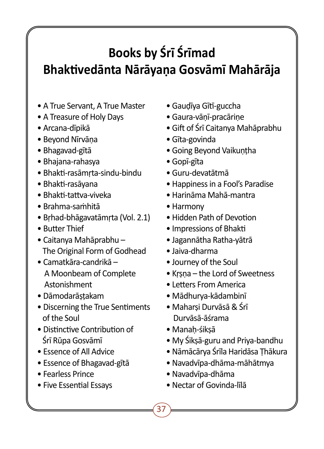## **Books by Śrī Śrīmad Bhaktivedānta Nārāyaṇa Gosvāmī Mahārāja**

- A True Servant, A True Master
- A Treasure of Holy Days
- Arcana-dīpikā
- Beyond Nīrvāṇa
- Bhagavad-gītā
- Bhajana-rahasya
- Bhakti-rasāmṛta-sindu-bindu
- Bhakti-rasāyana
- Bhakti-tattva-viveka
- Brahma-saṁhitā
- Bṛhad-bhāgavatāmṛta (Vol. 2.1)
- Butter Thief
- Caitanya Mahāprabhu The Original Form of Godhead
- Camatkāra-candrikā A Moonbeam of Complete Astonishment
- Dāmodarāṣṭakam
- Discerning the True Sentiments of the Soul
- Distinctive Contribution of Śrī Rūpa Gosvāmī
- Essence of All Advice
- Essence of Bhagavad-gītā
- Fearless Prince
- Five Essential Essays
- Gauḍīya Gītī-guccha
- Gaura-vāṇī-pracāriṇe
- Gift of Śrī Caitanya Mahāprabhu
- Gīta-govinda
- Going Beyond Vaikuṇṭha
- Gopī-gīta
- Guru-devatātmā
- Happiness in a Fool's Paradise
- Harināma Mahā-mantra
- Harmony
- Hidden Path of Devotion
- Impressions of Bhakti
- Jagannātha Ratha-yātrā
- Jaiva-dharma
- Journey of the Soul
- Kṛṣṇa the Lord of Sweetness
- Letters From America
- Mādhurya-kādambinī
- Maharṣi Durvāsā & Śrī Durvāsā-āśrama
- Manah-śiksā

- My Śikṣā-guru and Priya-bandhu
- Nāmācārya Śrīla Haridāsa Ṭhākura
- Navadvīpa-dhāma-māhātmya
- Navadvīpa-dhāma
- Nectar of Govinda-līlā